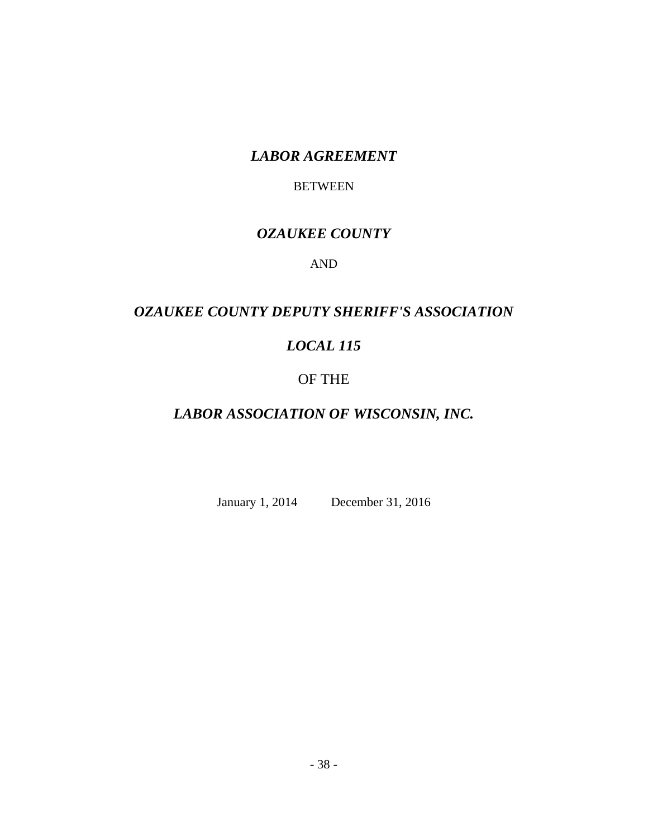# *LABOR AGREEMENT*

## BETWEEN

# *OZAUKEE COUNTY*

## AND

# *OZAUKEE COUNTY DEPUTY SHERIFF'S ASSOCIATION*

# *LOCAL 115*

# OF THE

# *LABOR ASSOCIATION OF WISCONSIN, INC.*

January 1, 2014 December 31, 2016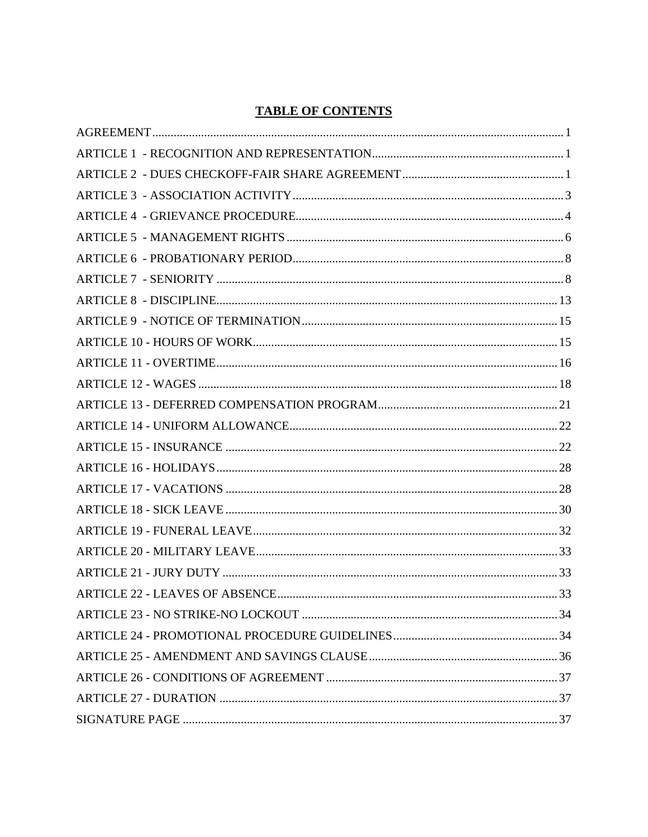## **TABLE OF CONTENTS**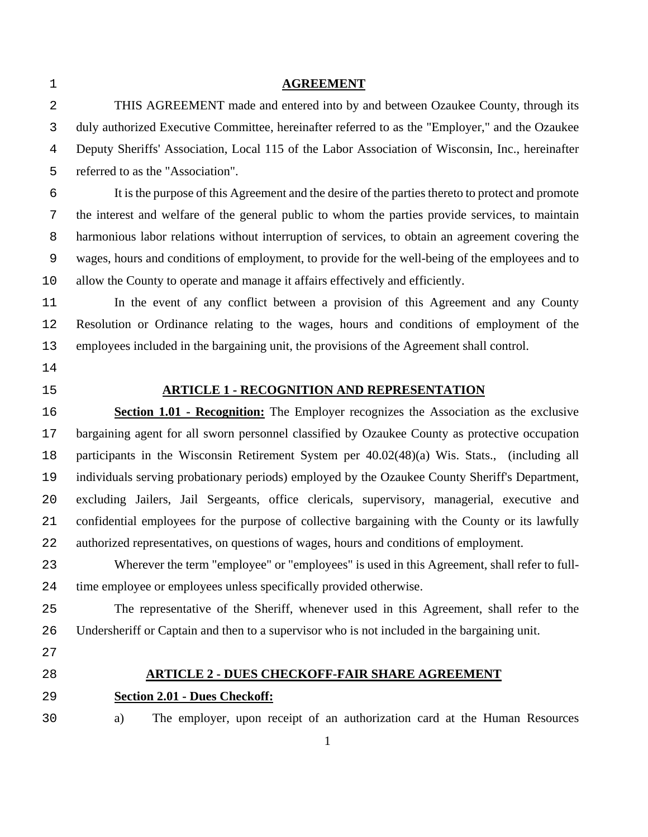| $\mathbf 1$    | <b>AGREEMENT</b>                                                                                 |
|----------------|--------------------------------------------------------------------------------------------------|
| 2              | THIS AGREEMENT made and entered into by and between Ozaukee County, through its                  |
| 3              | duly authorized Executive Committee, hereinafter referred to as the "Employer," and the Ozaukee  |
| $\overline{4}$ | Deputy Sheriffs' Association, Local 115 of the Labor Association of Wisconsin, Inc., hereinafter |
| 5              | referred to as the "Association".                                                                |
| 6              | It is the purpose of this Agreement and the desire of the parties thereto to protect and promote |
| 7              | the interest and welfare of the general public to whom the parties provide services, to maintain |
| 8              | harmonious labor relations without interruption of services, to obtain an agreement covering the |
| $\mathsf 9$    | wages, hours and conditions of employment, to provide for the well-being of the employees and to |
| 10             | allow the County to operate and manage it affairs effectively and efficiently.                   |
| 11             | In the event of any conflict between a provision of this Agreement and any County                |
| 12             | Resolution or Ordinance relating to the wages, hours and conditions of employment of the         |
| 13             | employees included in the bargaining unit, the provisions of the Agreement shall control.        |
| 14             |                                                                                                  |
| 15             | <b>ARTICLE 1 - RECOGNITION AND REPRESENTATION</b>                                                |
| 16             | <b>Section 1.01 - Recognition:</b> The Employer recognizes the Association as the exclusive      |
| 17             | bargaining agent for all sworn personnel classified by Ozaukee County as protective occupation   |
| 18             | participants in the Wisconsin Retirement System per 40.02(48)(a) Wis. Stats., (including all     |
| 19             | individuals serving probationary periods) employed by the Ozaukee County Sheriff's Department,   |
| 20             | excluding Jailers, Jail Sergeants, office clericals, supervisory, managerial, executive and      |
| 21             | confidential employees for the purpose of collective bargaining with the County or its lawfully  |
| 22             | authorized representatives, on questions of wages, hours and conditions of employment.           |
| 23             | Wherever the term "employee" or "employees" is used in this Agreement, shall refer to full-      |
| 24             | time employee or employees unless specifically provided otherwise.                               |
| 25             | The representative of the Sheriff, whenever used in this Agreement, shall refer to the           |
| 26             | Undersheriff or Captain and then to a supervisor who is not included in the bargaining unit.     |
| 27             |                                                                                                  |
| 28             | <b>ARTICLE 2 - DUES CHECKOFF-FAIR SHARE AGREEMENT</b>                                            |
| 29             | <b>Section 2.01 - Dues Checkoff:</b>                                                             |
| 30             | The employer, upon receipt of an authorization card at the Human Resources<br>a)                 |
|                | $\mathbf{1}$                                                                                     |
|                |                                                                                                  |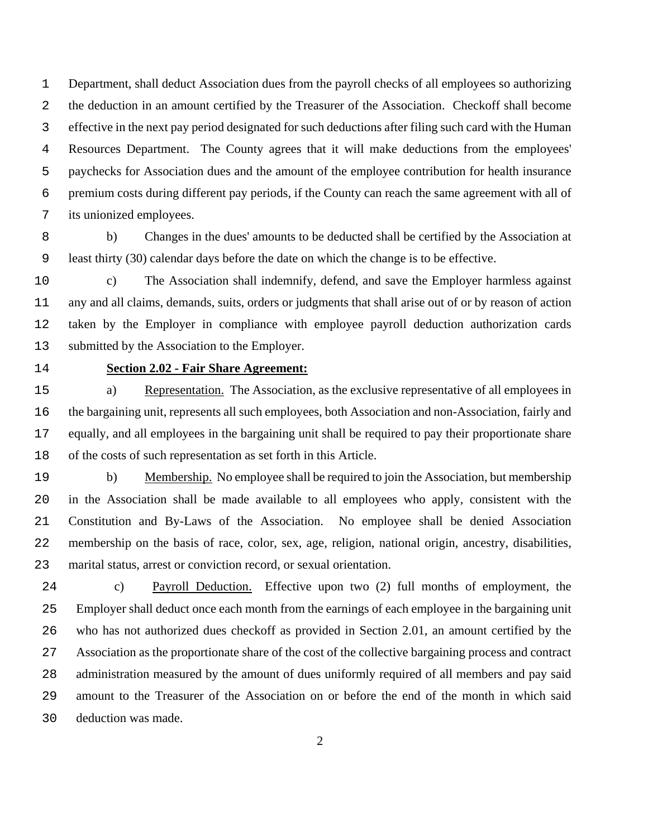Department, shall deduct Association dues from the payroll checks of all employees so authorizing the deduction in an amount certified by the Treasurer of the Association. Checkoff shall become effective in the next pay period designated for such deductions after filing such card with the Human Resources Department. The County agrees that it will make deductions from the employees' paychecks for Association dues and the amount of the employee contribution for health insurance premium costs during different pay periods, if the County can reach the same agreement with all of its unionized employees.

b) Changes in the dues' amounts to be deducted shall be certified by the Association at least thirty (30) calendar days before the date on which the change is to be effective.

c) The Association shall indemnify, defend, and save the Employer harmless against any and all claims, demands, suits, orders or judgments that shall arise out of or by reason of action taken by the Employer in compliance with employee payroll deduction authorization cards submitted by the Association to the Employer.

## **Section 2.02 - Fair Share Agreement:**

a) Representation. The Association, as the exclusive representative of all employees in the bargaining unit, represents all such employees, both Association and non-Association, fairly and equally, and all employees in the bargaining unit shall be required to pay their proportionate share of the costs of such representation as set forth in this Article.

b) Membership. No employee shall be required to join the Association, but membership in the Association shall be made available to all employees who apply, consistent with the Constitution and By-Laws of the Association. No employee shall be denied Association membership on the basis of race, color, sex, age, religion, national origin, ancestry, disabilities, marital status, arrest or conviction record, or sexual orientation.

c) Payroll Deduction. Effective upon two (2) full months of employment, the Employer shall deduct once each month from the earnings of each employee in the bargaining unit who has not authorized dues checkoff as provided in Section 2.01, an amount certified by the Association as the proportionate share of the cost of the collective bargaining process and contract administration measured by the amount of dues uniformly required of all members and pay said amount to the Treasurer of the Association on or before the end of the month in which said deduction was made.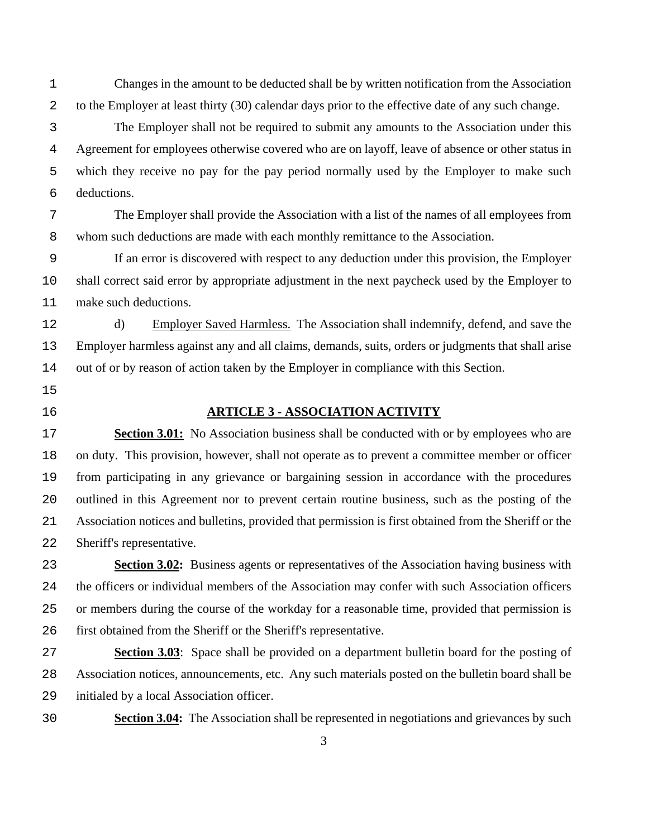Changes in the amount to be deducted shall be by written notification from the Association to the Employer at least thirty (30) calendar days prior to the effective date of any such change.

The Employer shall not be required to submit any amounts to the Association under this Agreement for employees otherwise covered who are on layoff, leave of absence or other status in which they receive no pay for the pay period normally used by the Employer to make such deductions.

The Employer shall provide the Association with a list of the names of all employees from whom such deductions are made with each monthly remittance to the Association.

If an error is discovered with respect to any deduction under this provision, the Employer shall correct said error by appropriate adjustment in the next paycheck used by the Employer to make such deductions.

d) Employer Saved Harmless. The Association shall indemnify, defend, and save the Employer harmless against any and all claims, demands, suits, orders or judgments that shall arise out of or by reason of action taken by the Employer in compliance with this Section.

- 
- 

### **ARTICLE 3** - **ASSOCIATION ACTIVITY**

**Section 3.01:** No Association business shall be conducted with or by employees who are on duty. This provision, however, shall not operate as to prevent a committee member or officer from participating in any grievance or bargaining session in accordance with the procedures outlined in this Agreement nor to prevent certain routine business, such as the posting of the Association notices and bulletins, provided that permission is first obtained from the Sheriff or the Sheriff's representative.

**Section 3.02:** Business agents or representatives of the Association having business with the officers or individual members of the Association may confer with such Association officers or members during the course of the workday for a reasonable time, provided that permission is first obtained from the Sheriff or the Sheriff's representative.

**Section 3.03**: Space shall be provided on a department bulletin board for the posting of Association notices, announcements, etc. Any such materials posted on the bulletin board shall be initialed by a local Association officer.

**Section 3.04:** The Association shall be represented in negotiations and grievances by such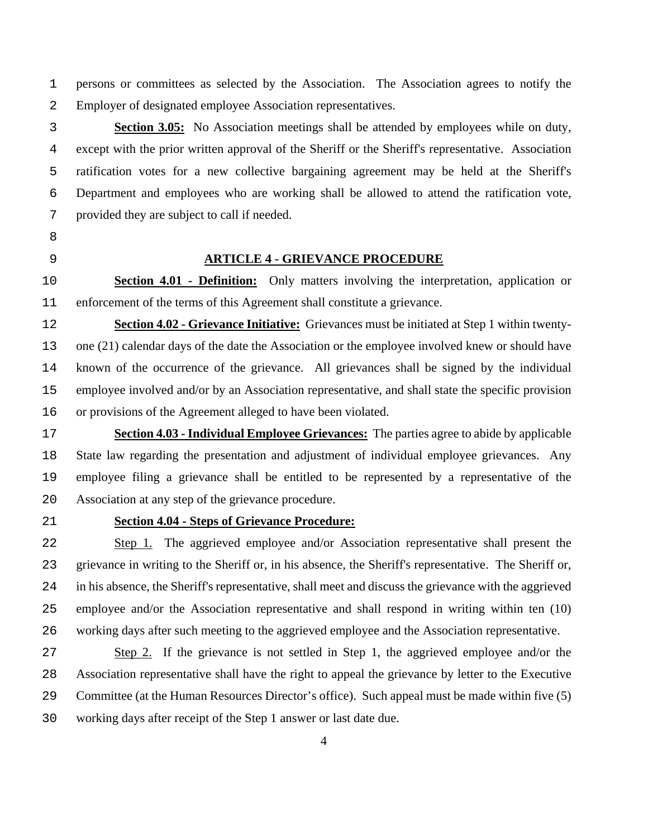persons or committees as selected by the Association. The Association agrees to notify the Employer of designated employee Association representatives.

**Section 3.05:** No Association meetings shall be attended by employees while on duty, except with the prior written approval of the Sheriff or the Sheriff's representative. Association ratification votes for a new collective bargaining agreement may be held at the Sheriff's Department and employees who are working shall be allowed to attend the ratification vote, provided they are subject to call if needed.

- 
- 

#### **ARTICLE 4 - GRIEVANCE PROCEDURE**

**Section 4.01 - Definition:** Only matters involving the interpretation, application or enforcement of the terms of this Agreement shall constitute a grievance.

**Section 4.02 - Grievance Initiative:** Grievances must be initiated at Step 1 within twenty-one (21) calendar days of the date the Association or the employee involved knew or should have known of the occurrence of the grievance. All grievances shall be signed by the individual employee involved and/or by an Association representative, and shall state the specific provision or provisions of the Agreement alleged to have been violated.

**Section 4.03 - Individual Employee Grievances:** The parties agree to abide by applicable State law regarding the presentation and adjustment of individual employee grievances. Any employee filing a grievance shall be entitled to be represented by a representative of the Association at any step of the grievance procedure.

### **Section 4.04 - Steps of Grievance Procedure:**

Step 1. The aggrieved employee and/or Association representative shall present the grievance in writing to the Sheriff or, in his absence, the Sheriff's representative. The Sheriff or, in his absence, the Sheriff's representative, shall meet and discuss the grievance with the aggrieved employee and/or the Association representative and shall respond in writing within ten (10) working days after such meeting to the aggrieved employee and the Association representative.

Step 2. If the grievance is not settled in Step 1, the aggrieved employee and/or the Association representative shall have the right to appeal the grievance by letter to the Executive Committee (at the Human Resources Director's office). Such appeal must be made within five (5) working days after receipt of the Step 1 answer or last date due.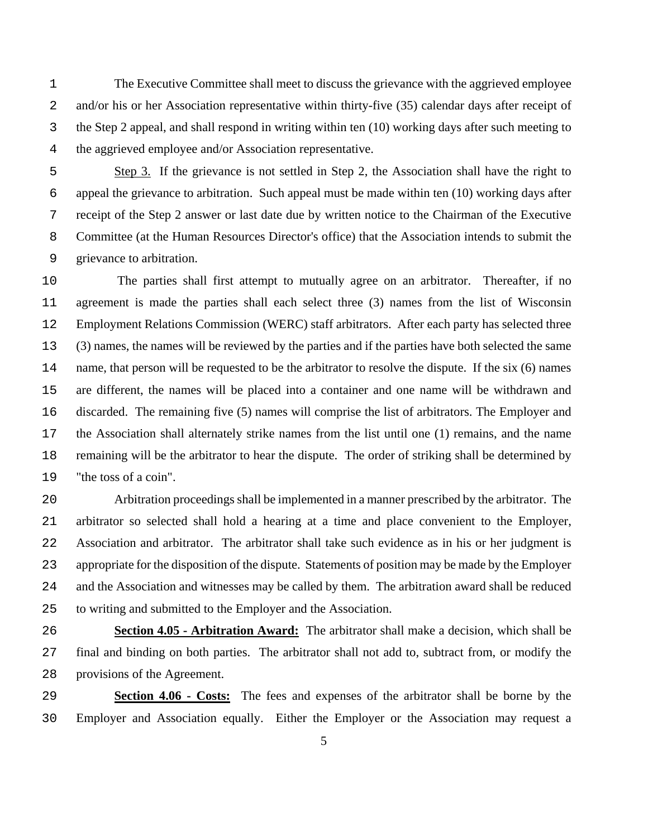The Executive Committee shall meet to discuss the grievance with the aggrieved employee and/or his or her Association representative within thirty-five (35) calendar days after receipt of the Step 2 appeal, and shall respond in writing within ten (10) working days after such meeting to the aggrieved employee and/or Association representative.

Step 3. If the grievance is not settled in Step 2, the Association shall have the right to appeal the grievance to arbitration. Such appeal must be made within ten (10) working days after receipt of the Step 2 answer or last date due by written notice to the Chairman of the Executive Committee (at the Human Resources Director's office) that the Association intends to submit the grievance to arbitration.

The parties shall first attempt to mutually agree on an arbitrator. Thereafter, if no agreement is made the parties shall each select three (3) names from the list of Wisconsin Employment Relations Commission (WERC) staff arbitrators. After each party has selected three (3) names, the names will be reviewed by the parties and if the parties have both selected the same name, that person will be requested to be the arbitrator to resolve the dispute. If the six (6) names are different, the names will be placed into a container and one name will be withdrawn and discarded. The remaining five (5) names will comprise the list of arbitrators. The Employer and the Association shall alternately strike names from the list until one (1) remains, and the name remaining will be the arbitrator to hear the dispute. The order of striking shall be determined by "the toss of a coin".

Arbitration proceedings shall be implemented in a manner prescribed by the arbitrator. The arbitrator so selected shall hold a hearing at a time and place convenient to the Employer, Association and arbitrator. The arbitrator shall take such evidence as in his or her judgment is appropriate for the disposition of the dispute. Statements of position may be made by the Employer and the Association and witnesses may be called by them. The arbitration award shall be reduced to writing and submitted to the Employer and the Association.

**Section 4.05 - Arbitration Award:** The arbitrator shall make a decision, which shall be final and binding on both parties. The arbitrator shall not add to, subtract from, or modify the provisions of the Agreement.

**Section 4.06 - Costs:** The fees and expenses of the arbitrator shall be borne by the Employer and Association equally. Either the Employer or the Association may request a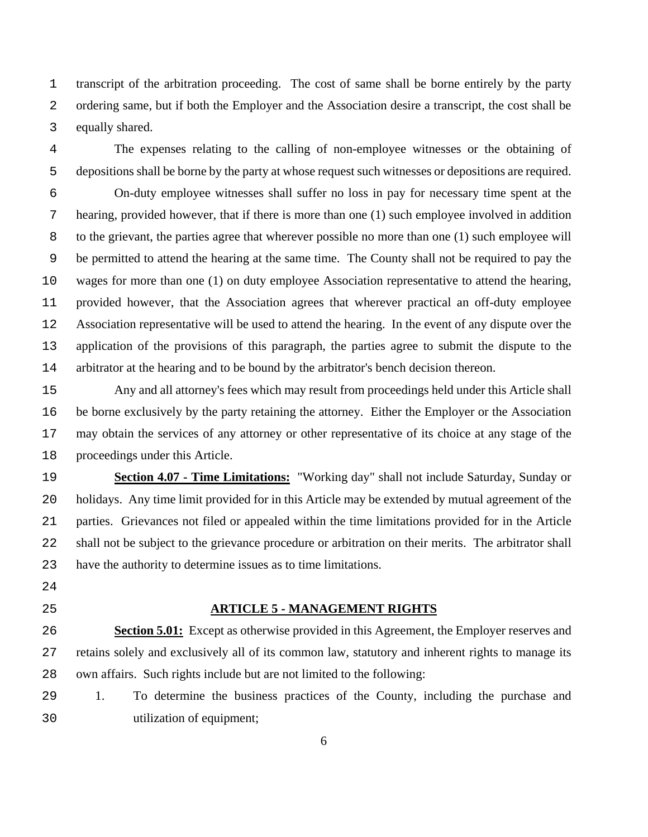transcript of the arbitration proceeding. The cost of same shall be borne entirely by the party ordering same, but if both the Employer and the Association desire a transcript, the cost shall be equally shared.

The expenses relating to the calling of non-employee witnesses or the obtaining of depositions shall be borne by the party at whose request such witnesses or depositions are required.

On-duty employee witnesses shall suffer no loss in pay for necessary time spent at the hearing, provided however, that if there is more than one (1) such employee involved in addition to the grievant, the parties agree that wherever possible no more than one (1) such employee will be permitted to attend the hearing at the same time. The County shall not be required to pay the wages for more than one (1) on duty employee Association representative to attend the hearing, provided however, that the Association agrees that wherever practical an off-duty employee Association representative will be used to attend the hearing. In the event of any dispute over the application of the provisions of this paragraph, the parties agree to submit the dispute to the arbitrator at the hearing and to be bound by the arbitrator's bench decision thereon.

Any and all attorney's fees which may result from proceedings held under this Article shall be borne exclusively by the party retaining the attorney. Either the Employer or the Association may obtain the services of any attorney or other representative of its choice at any stage of the proceedings under this Article.

**Section 4.07 - Time Limitations:** "Working day" shall not include Saturday, Sunday or holidays. Any time limit provided for in this Article may be extended by mutual agreement of the parties. Grievances not filed or appealed within the time limitations provided for in the Article shall not be subject to the grievance procedure or arbitration on their merits. The arbitrator shall have the authority to determine issues as to time limitations.

- 
- 

#### **ARTICLE 5 - MANAGEMENT RIGHTS**

**Section 5.01:** Except as otherwise provided in this Agreement, the Employer reserves and retains solely and exclusively all of its common law, statutory and inherent rights to manage its own affairs. Such rights include but are not limited to the following:

1. To determine the business practices of the County, including the purchase and utilization of equipment;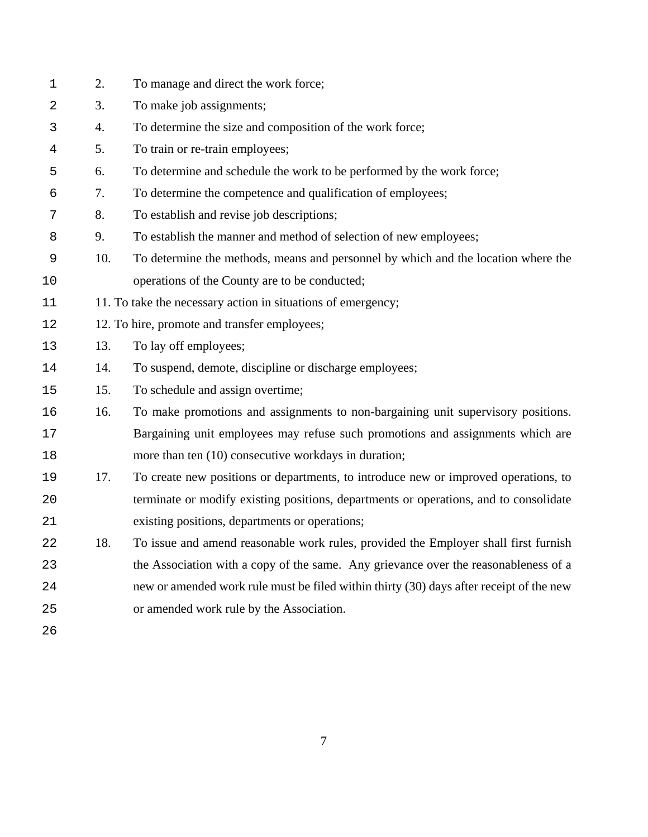| $\mathbf 1$ | 2.  | To manage and direct the work force;                                                    |
|-------------|-----|-----------------------------------------------------------------------------------------|
| 2           | 3.  | To make job assignments;                                                                |
| 3           | 4.  | To determine the size and composition of the work force;                                |
| 4           | 5.  | To train or re-train employees;                                                         |
| 5           | 6.  | To determine and schedule the work to be performed by the work force;                   |
| 6           | 7.  | To determine the competence and qualification of employees;                             |
| 7           | 8.  | To establish and revise job descriptions;                                               |
| 8           | 9.  | To establish the manner and method of selection of new employees;                       |
| 9           | 10. | To determine the methods, means and personnel by which and the location where the       |
| 10          |     | operations of the County are to be conducted;                                           |
| 11          |     | 11. To take the necessary action in situations of emergency;                            |
| 12          |     | 12. To hire, promote and transfer employees;                                            |
| 13          | 13. | To lay off employees;                                                                   |
| 14          | 14. | To suspend, demote, discipline or discharge employees;                                  |
| 15          | 15. | To schedule and assign overtime;                                                        |
| 16          | 16. | To make promotions and assignments to non-bargaining unit supervisory positions.        |
| 17          |     | Bargaining unit employees may refuse such promotions and assignments which are          |
| 18          |     | more than ten (10) consecutive workdays in duration;                                    |
| 19          | 17. | To create new positions or departments, to introduce new or improved operations, to     |
| 20          |     | terminate or modify existing positions, departments or operations, and to consolidate   |
| 21          |     | existing positions, departments or operations;                                          |
| 22          | 18. | To issue and amend reasonable work rules, provided the Employer shall first furnish     |
| 23          |     | the Association with a copy of the same. Any grievance over the reasonableness of a     |
| 24          |     | new or amended work rule must be filed within thirty (30) days after receipt of the new |
| 25          |     | or amended work rule by the Association.                                                |
| 26          |     |                                                                                         |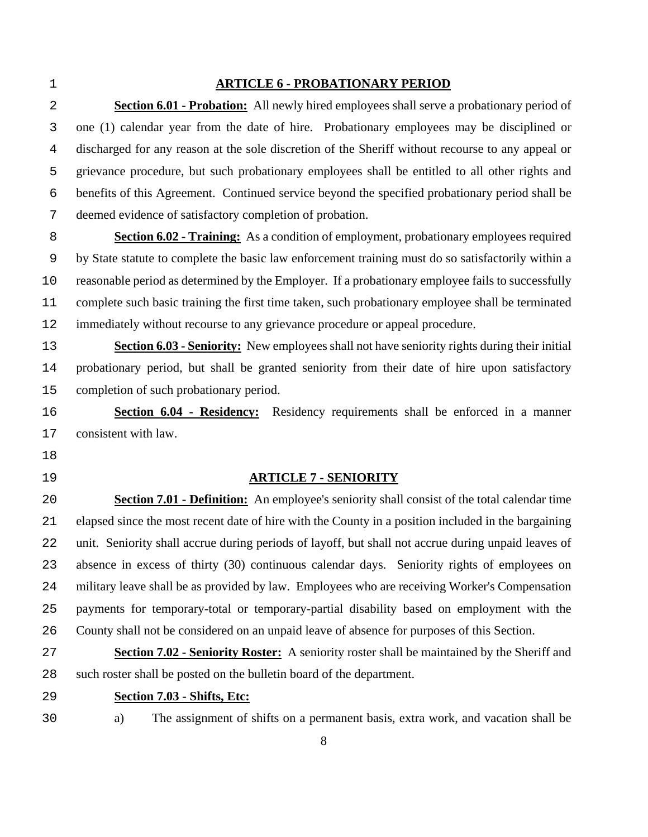#### **ARTICLE 6 - PROBATIONARY PERIOD**

**Section 6.01 - Probation:** All newly hired employees shall serve a probationary period of one (1) calendar year from the date of hire. Probationary employees may be disciplined or discharged for any reason at the sole discretion of the Sheriff without recourse to any appeal or grievance procedure, but such probationary employees shall be entitled to all other rights and benefits of this Agreement. Continued service beyond the specified probationary period shall be deemed evidence of satisfactory completion of probation.

**Section 6.02 - Training:** As a condition of employment, probationary employees required by State statute to complete the basic law enforcement training must do so satisfactorily within a reasonable period as determined by the Employer. If a probationary employee fails to successfully complete such basic training the first time taken, such probationary employee shall be terminated 12 immediately without recourse to any grievance procedure or appeal procedure.

**Section 6.03 - Seniority:** New employees shall not have seniority rights during their initial probationary period, but shall be granted seniority from their date of hire upon satisfactory completion of such probationary period.

**Section 6.04 - Residency:** Residency requirements shall be enforced in a manner consistent with law.

- 
- 

### **ARTICLE 7 - SENIORITY**

**Section 7.01 - Definition:** An employee's seniority shall consist of the total calendar time elapsed since the most recent date of hire with the County in a position included in the bargaining unit. Seniority shall accrue during periods of layoff, but shall not accrue during unpaid leaves of absence in excess of thirty (30) continuous calendar days. Seniority rights of employees on military leave shall be as provided by law. Employees who are receiving Worker's Compensation payments for temporary-total or temporary-partial disability based on employment with the County shall not be considered on an unpaid leave of absence for purposes of this Section.

**Section 7.02 - Seniority Roster:** A seniority roster shall be maintained by the Sheriff and such roster shall be posted on the bulletin board of the department.

- **Section 7.03 Shifts, Etc:**
- 

a) The assignment of shifts on a permanent basis, extra work, and vacation shall be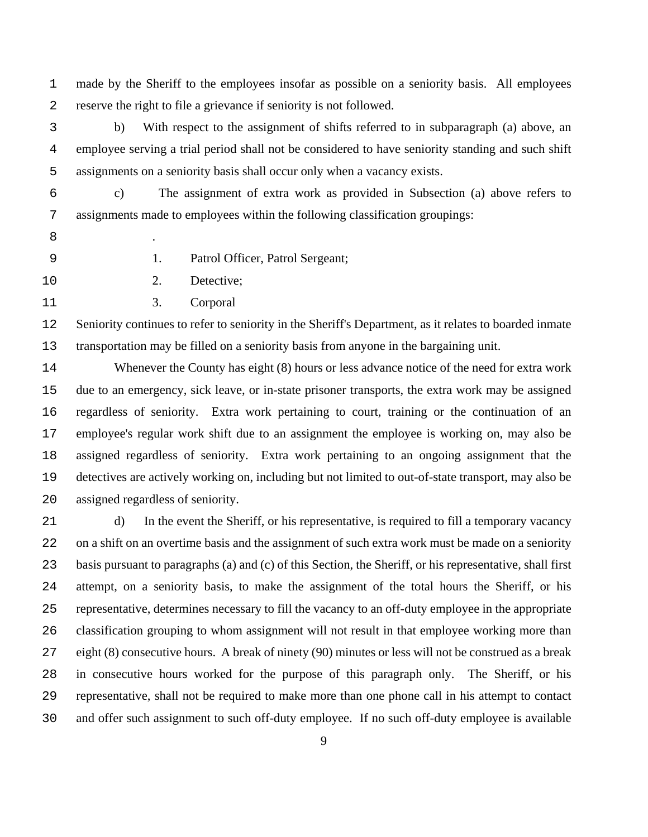made by the Sheriff to the employees insofar as possible on a seniority basis. All employees reserve the right to file a grievance if seniority is not followed.

b) With respect to the assignment of shifts referred to in subparagraph (a) above, an employee serving a trial period shall not be considered to have seniority standing and such shift assignments on a seniority basis shall occur only when a vacancy exists.

c) The assignment of extra work as provided in Subsection (a) above refers to assignments made to employees within the following classification groupings:

.

1. Patrol Officer, Patrol Sergeant;

2. Detective;

3. Corporal

Seniority continues to refer to seniority in the Sheriff's Department, as it relates to boarded inmate transportation may be filled on a seniority basis from anyone in the bargaining unit.

Whenever the County has eight (8) hours or less advance notice of the need for extra work due to an emergency, sick leave, or in-state prisoner transports, the extra work may be assigned regardless of seniority. Extra work pertaining to court, training or the continuation of an employee's regular work shift due to an assignment the employee is working on, may also be assigned regardless of seniority. Extra work pertaining to an ongoing assignment that the detectives are actively working on, including but not limited to out-of-state transport, may also be assigned regardless of seniority.

d) In the event the Sheriff, or his representative, is required to fill a temporary vacancy on a shift on an overtime basis and the assignment of such extra work must be made on a seniority basis pursuant to paragraphs (a) and (c) of this Section, the Sheriff, or his representative, shall first attempt, on a seniority basis, to make the assignment of the total hours the Sheriff, or his representative, determines necessary to fill the vacancy to an off-duty employee in the appropriate classification grouping to whom assignment will not result in that employee working more than eight (8) consecutive hours. A break of ninety (90) minutes or less will not be construed as a break in consecutive hours worked for the purpose of this paragraph only. The Sheriff, or his representative, shall not be required to make more than one phone call in his attempt to contact and offer such assignment to such off-duty employee. If no such off-duty employee is available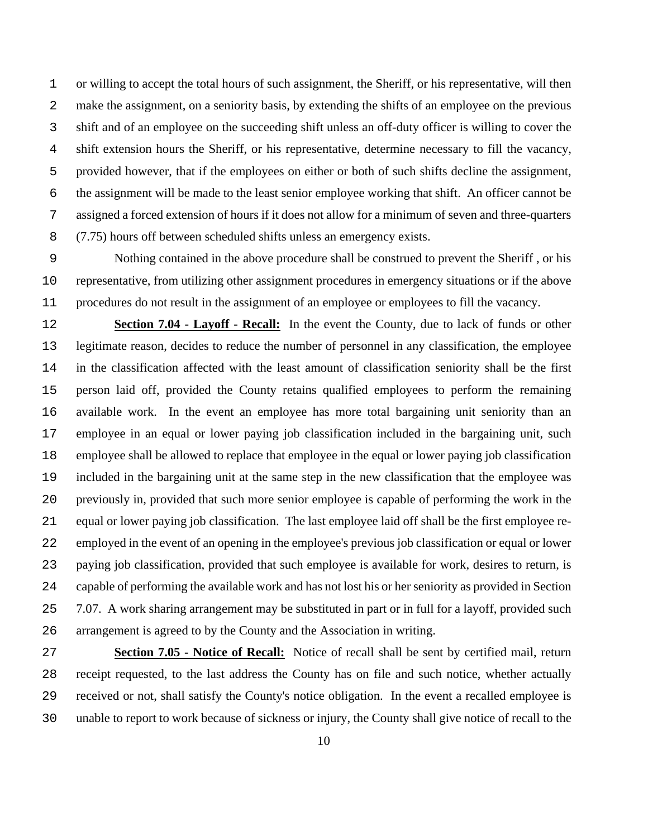or willing to accept the total hours of such assignment, the Sheriff, or his representative, will then make the assignment, on a seniority basis, by extending the shifts of an employee on the previous shift and of an employee on the succeeding shift unless an off-duty officer is willing to cover the shift extension hours the Sheriff, or his representative, determine necessary to fill the vacancy, provided however, that if the employees on either or both of such shifts decline the assignment, the assignment will be made to the least senior employee working that shift. An officer cannot be assigned a forced extension of hours if it does not allow for a minimum of seven and three-quarters (7.75) hours off between scheduled shifts unless an emergency exists.

Nothing contained in the above procedure shall be construed to prevent the Sheriff , or his representative, from utilizing other assignment procedures in emergency situations or if the above procedures do not result in the assignment of an employee or employees to fill the vacancy.

**Section 7.04 - Layoff - Recall:** In the event the County, due to lack of funds or other legitimate reason, decides to reduce the number of personnel in any classification, the employee in the classification affected with the least amount of classification seniority shall be the first person laid off, provided the County retains qualified employees to perform the remaining available work. In the event an employee has more total bargaining unit seniority than an employee in an equal or lower paying job classification included in the bargaining unit, such employee shall be allowed to replace that employee in the equal or lower paying job classification included in the bargaining unit at the same step in the new classification that the employee was previously in, provided that such more senior employee is capable of performing the work in the equal or lower paying job classification. The last employee laid off shall be the first employee re-employed in the event of an opening in the employee's previous job classification or equal or lower paying job classification, provided that such employee is available for work, desires to return, is capable of performing the available work and has not lost his or her seniority as provided in Section 7.07. A work sharing arrangement may be substituted in part or in full for a layoff, provided such arrangement is agreed to by the County and the Association in writing.

**Section 7.05 - Notice of Recall:** Notice of recall shall be sent by certified mail, return receipt requested, to the last address the County has on file and such notice, whether actually received or not, shall satisfy the County's notice obligation. In the event a recalled employee is unable to report to work because of sickness or injury, the County shall give notice of recall to the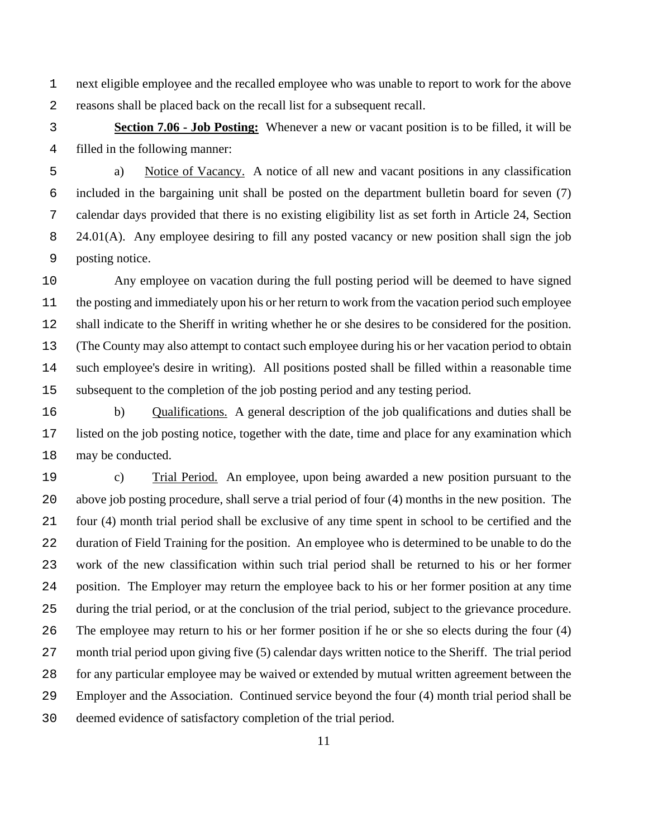next eligible employee and the recalled employee who was unable to report to work for the above reasons shall be placed back on the recall list for a subsequent recall.

**Section 7.06 - Job Posting:** Whenever a new or vacant position is to be filled, it will be filled in the following manner:

a) Notice of Vacancy. A notice of all new and vacant positions in any classification included in the bargaining unit shall be posted on the department bulletin board for seven (7) calendar days provided that there is no existing eligibility list as set forth in Article 24, Section 8 24.01(A). Any employee desiring to fill any posted vacancy or new position shall sign the job posting notice.

Any employee on vacation during the full posting period will be deemed to have signed the posting and immediately upon his or her return to work from the vacation period such employee shall indicate to the Sheriff in writing whether he or she desires to be considered for the position. (The County may also attempt to contact such employee during his or her vacation period to obtain such employee's desire in writing). All positions posted shall be filled within a reasonable time subsequent to the completion of the job posting period and any testing period.

b) Qualifications. A general description of the job qualifications and duties shall be listed on the job posting notice, together with the date, time and place for any examination which may be conducted.

c) Trial Period. An employee, upon being awarded a new position pursuant to the above job posting procedure, shall serve a trial period of four (4) months in the new position. The four (4) month trial period shall be exclusive of any time spent in school to be certified and the duration of Field Training for the position. An employee who is determined to be unable to do the work of the new classification within such trial period shall be returned to his or her former position. The Employer may return the employee back to his or her former position at any time during the trial period, or at the conclusion of the trial period, subject to the grievance procedure. The employee may return to his or her former position if he or she so elects during the four (4) month trial period upon giving five (5) calendar days written notice to the Sheriff. The trial period for any particular employee may be waived or extended by mutual written agreement between the Employer and the Association. Continued service beyond the four (4) month trial period shall be deemed evidence of satisfactory completion of the trial period.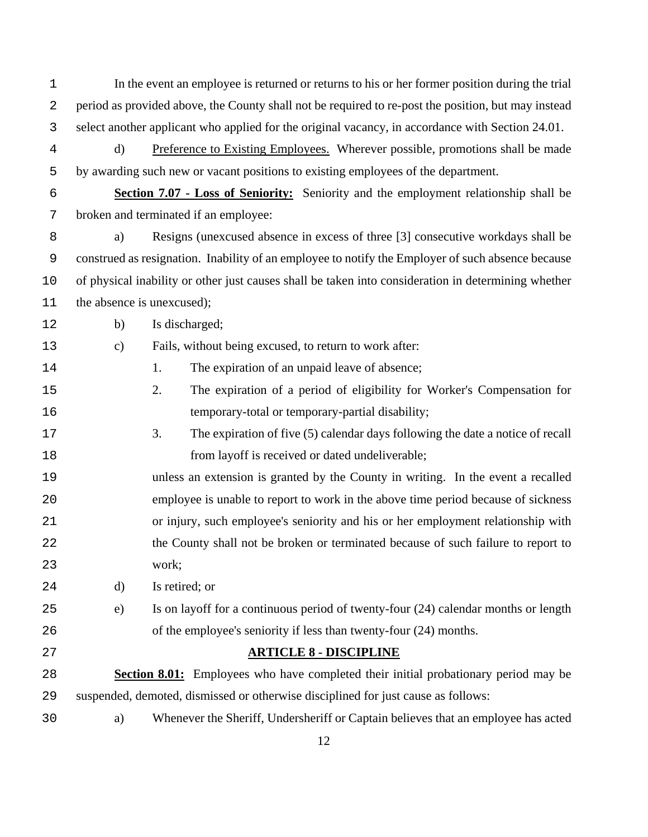In the event an employee is returned or returns to his or her former position during the trial period as provided above, the County shall not be required to re-post the position, but may instead select another applicant who applied for the original vacancy, in accordance with Section 24.01.

d) Preference to Existing Employees. Wherever possible, promotions shall be made by awarding such new or vacant positions to existing employees of the department.

**Section 7.07 - Loss of Seniority:** Seniority and the employment relationship shall be broken and terminated if an employee:

a) Resigns (unexcused absence in excess of three [3] consecutive workdays shall be construed as resignation. Inability of an employee to notify the Employer of such absence because of physical inability or other just causes shall be taken into consideration in determining whether 11 the absence is unexcused);

b) Is discharged;

c) Fails, without being excused, to return to work after:

14 1. The expiration of an unpaid leave of absence;

- 2. The expiration of a period of eligibility for Worker's Compensation for 16 temporary-total or temporary-partial disability;
- 3. The expiration of five (5) calendar days following the date a notice of recall **from layoff is received or dated undeliverable;**
- unless an extension is granted by the County in writing. In the event a recalled employee is unable to report to work in the above time period because of sickness or injury, such employee's seniority and his or her employment relationship with 22 the County shall not be broken or terminated because of such failure to report to work;

d) Is retired; or

- e) Is on layoff for a continuous period of twenty-four (24) calendar months or length of the employee's seniority if less than twenty-four (24) months.
- 

## **ARTICLE 8 - DISCIPLINE**

**Section 8.01:** Employees who have completed their initial probationary period may be suspended, demoted, dismissed or otherwise disciplined for just cause as follows:

a) Whenever the Sheriff, Undersheriff or Captain believes that an employee has acted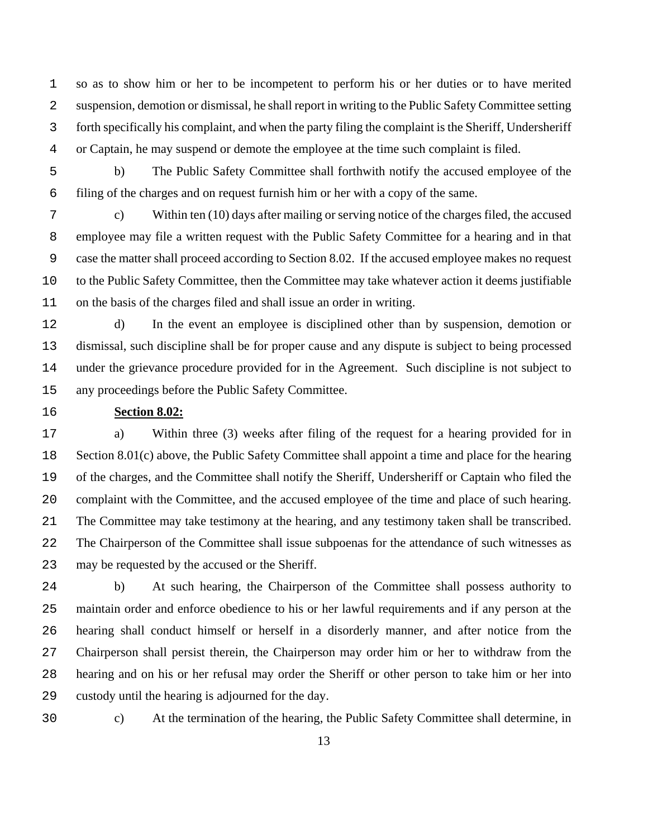so as to show him or her to be incompetent to perform his or her duties or to have merited suspension, demotion or dismissal, he shall report in writing to the Public Safety Committee setting forth specifically his complaint, and when the party filing the complaint is the Sheriff, Undersheriff or Captain, he may suspend or demote the employee at the time such complaint is filed.

b) The Public Safety Committee shall forthwith notify the accused employee of the filing of the charges and on request furnish him or her with a copy of the same.

c) Within ten (10) days after mailing or serving notice of the charges filed, the accused employee may file a written request with the Public Safety Committee for a hearing and in that case the matter shall proceed according to Section 8.02. If the accused employee makes no request to the Public Safety Committee, then the Committee may take whatever action it deems justifiable on the basis of the charges filed and shall issue an order in writing.

- d) In the event an employee is disciplined other than by suspension, demotion or dismissal, such discipline shall be for proper cause and any dispute is subject to being processed under the grievance procedure provided for in the Agreement. Such discipline is not subject to any proceedings before the Public Safety Committee.
- 

## **Section 8.02:**

a) Within three (3) weeks after filing of the request for a hearing provided for in Section 8.01(c) above, the Public Safety Committee shall appoint a time and place for the hearing of the charges, and the Committee shall notify the Sheriff, Undersheriff or Captain who filed the complaint with the Committee, and the accused employee of the time and place of such hearing. The Committee may take testimony at the hearing, and any testimony taken shall be transcribed. The Chairperson of the Committee shall issue subpoenas for the attendance of such witnesses as may be requested by the accused or the Sheriff.

b) At such hearing, the Chairperson of the Committee shall possess authority to maintain order and enforce obedience to his or her lawful requirements and if any person at the hearing shall conduct himself or herself in a disorderly manner, and after notice from the Chairperson shall persist therein, the Chairperson may order him or her to withdraw from the hearing and on his or her refusal may order the Sheriff or other person to take him or her into custody until the hearing is adjourned for the day.

c) At the termination of the hearing, the Public Safety Committee shall determine, in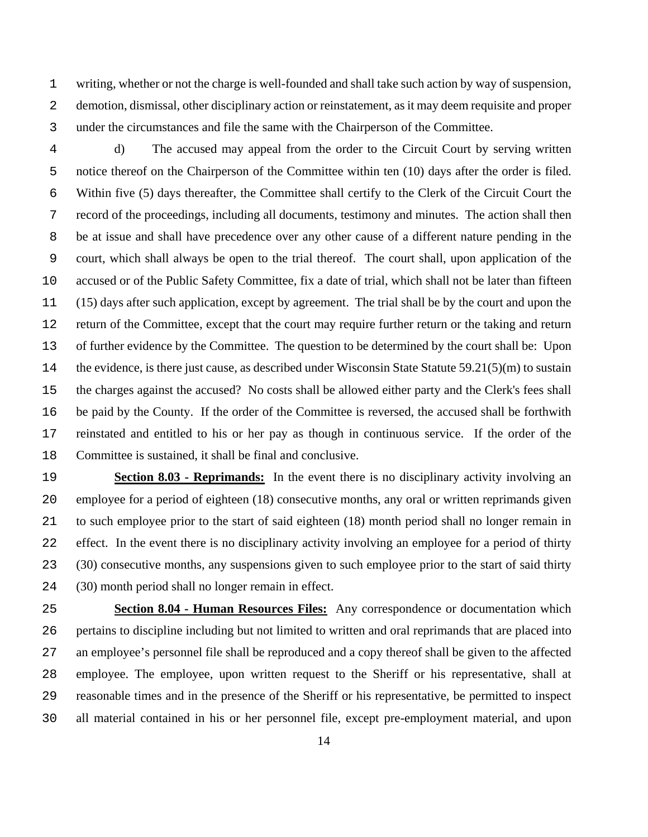writing, whether or not the charge is well-founded and shall take such action by way of suspension, demotion, dismissal, other disciplinary action or reinstatement, as it may deem requisite and proper under the circumstances and file the same with the Chairperson of the Committee.

d) The accused may appeal from the order to the Circuit Court by serving written notice thereof on the Chairperson of the Committee within ten (10) days after the order is filed. Within five (5) days thereafter, the Committee shall certify to the Clerk of the Circuit Court the record of the proceedings, including all documents, testimony and minutes. The action shall then be at issue and shall have precedence over any other cause of a different nature pending in the court, which shall always be open to the trial thereof. The court shall, upon application of the accused or of the Public Safety Committee, fix a date of trial, which shall not be later than fifteen (15) days after such application, except by agreement. The trial shall be by the court and upon the return of the Committee, except that the court may require further return or the taking and return of further evidence by the Committee. The question to be determined by the court shall be: Upon the evidence, is there just cause, as described under Wisconsin State Statute 59.21(5)(m) to sustain the charges against the accused? No costs shall be allowed either party and the Clerk's fees shall be paid by the County. If the order of the Committee is reversed, the accused shall be forthwith reinstated and entitled to his or her pay as though in continuous service. If the order of the Committee is sustained, it shall be final and conclusive.

**Section 8.03 - Reprimands:** In the event there is no disciplinary activity involving an employee for a period of eighteen (18) consecutive months, any oral or written reprimands given to such employee prior to the start of said eighteen (18) month period shall no longer remain in effect. In the event there is no disciplinary activity involving an employee for a period of thirty (30) consecutive months, any suspensions given to such employee prior to the start of said thirty (30) month period shall no longer remain in effect.

**Section 8.04 - Human Resources Files:** Any correspondence or documentation which pertains to discipline including but not limited to written and oral reprimands that are placed into an employee's personnel file shall be reproduced and a copy thereof shall be given to the affected employee. The employee, upon written request to the Sheriff or his representative, shall at reasonable times and in the presence of the Sheriff or his representative, be permitted to inspect all material contained in his or her personnel file, except pre-employment material, and upon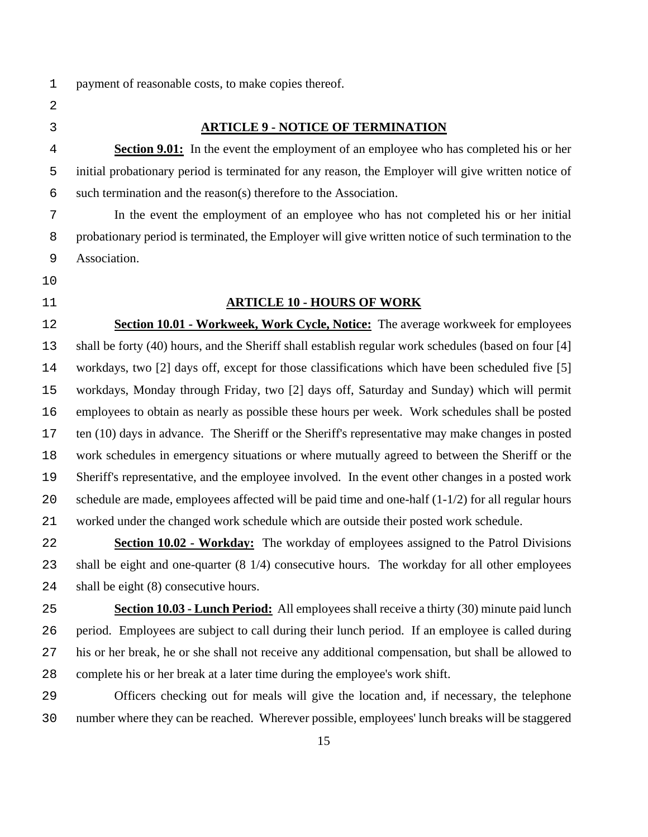- payment of reasonable costs, to make copies thereof.
- -

### **ARTICLE 9 - NOTICE OF TERMINATION**

**Section 9.01:** In the event the employment of an employee who has completed his or her initial probationary period is terminated for any reason, the Employer will give written notice of such termination and the reason(s) therefore to the Association.

In the event the employment of an employee who has not completed his or her initial probationary period is terminated, the Employer will give written notice of such termination to the Association.

- 
- 

## **ARTICLE 10 - HOURS OF WORK**

**Section 10.01 - Workweek, Work Cycle, Notice:** The average workweek for employees shall be forty (40) hours, and the Sheriff shall establish regular work schedules (based on four [4] workdays, two [2] days off, except for those classifications which have been scheduled five [5] workdays, Monday through Friday, two [2] days off, Saturday and Sunday) which will permit employees to obtain as nearly as possible these hours per week. Work schedules shall be posted ten (10) days in advance. The Sheriff or the Sheriff's representative may make changes in posted work schedules in emergency situations or where mutually agreed to between the Sheriff or the Sheriff's representative, and the employee involved. In the event other changes in a posted work schedule are made, employees affected will be paid time and one-half (1-1/2) for all regular hours worked under the changed work schedule which are outside their posted work schedule.

**Section 10.02 - Workday:** The workday of employees assigned to the Patrol Divisions shall be eight and one-quarter (8 1/4) consecutive hours. The workday for all other employees shall be eight (8) consecutive hours.

**Section 10.03 - Lunch Period:** All employees shall receive a thirty (30) minute paid lunch period. Employees are subject to call during their lunch period. If an employee is called during his or her break, he or she shall not receive any additional compensation, but shall be allowed to complete his or her break at a later time during the employee's work shift.

Officers checking out for meals will give the location and, if necessary, the telephone number where they can be reached. Wherever possible, employees' lunch breaks will be staggered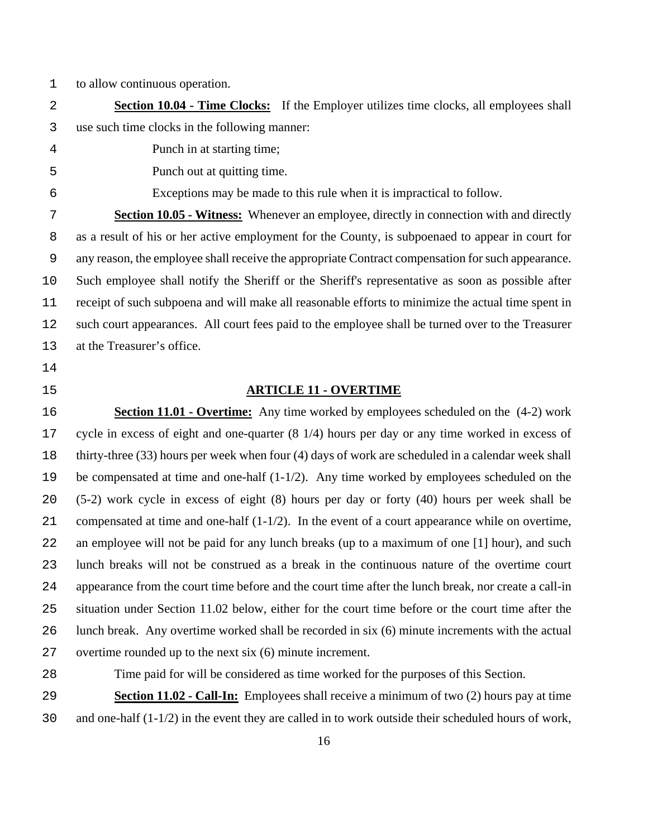to allow continuous operation.

**Section 10.04 - Time Clocks:** If the Employer utilizes time clocks, all employees shall use such time clocks in the following manner:

Punch in at starting time;

Punch out at quitting time.

Exceptions may be made to this rule when it is impractical to follow.

**Section 10.05 - Witness:** Whenever an employee, directly in connection with and directly as a result of his or her active employment for the County, is subpoenaed to appear in court for any reason, the employee shall receive the appropriate Contract compensation for such appearance. Such employee shall notify the Sheriff or the Sheriff's representative as soon as possible after receipt of such subpoena and will make all reasonable efforts to minimize the actual time spent in such court appearances. All court fees paid to the employee shall be turned over to the Treasurer at the Treasurer's office.

- 
- 

## **ARTICLE 11 - OVERTIME**

**Section 11.01 - Overtime:** Any time worked by employees scheduled on the (4-2) work cycle in excess of eight and one-quarter (8 1/4) hours per day or any time worked in excess of thirty-three (33) hours per week when four (4) days of work are scheduled in a calendar week shall be compensated at time and one-half (1-1/2). Any time worked by employees scheduled on the (5-2) work cycle in excess of eight (8) hours per day or forty (40) hours per week shall be 21 compensated at time and one-half  $(1-1/2)$ . In the event of a court appearance while on overtime, an employee will not be paid for any lunch breaks (up to a maximum of one [1] hour), and such lunch breaks will not be construed as a break in the continuous nature of the overtime court appearance from the court time before and the court time after the lunch break, nor create a call-in situation under Section 11.02 below, either for the court time before or the court time after the lunch break. Any overtime worked shall be recorded in six (6) minute increments with the actual overtime rounded up to the next six (6) minute increment.

Time paid for will be considered as time worked for the purposes of this Section.

**Section 11.02 - Call-In:** Employees shall receive a minimum of two (2) hours pay at time and one-half (1-1/2) in the event they are called in to work outside their scheduled hours of work,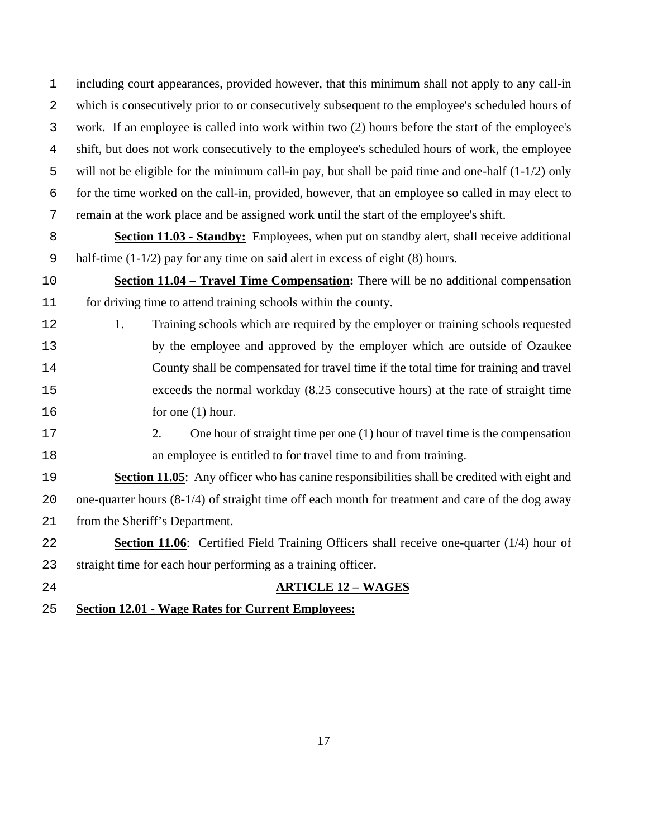including court appearances, provided however, that this minimum shall not apply to any call-in which is consecutively prior to or consecutively subsequent to the employee's scheduled hours of work. If an employee is called into work within two (2) hours before the start of the employee's shift, but does not work consecutively to the employee's scheduled hours of work, the employee will not be eligible for the minimum call-in pay, but shall be paid time and one-half (1-1/2) only for the time worked on the call-in, provided, however, that an employee so called in may elect to remain at the work place and be assigned work until the start of the employee's shift.

- **Section 11.03 Standby:** Employees, when put on standby alert, shall receive additional 9 half-time  $(1-1/2)$  pay for any time on said alert in excess of eight (8) hours.
- **Section 11.04 Travel Time Compensation:** There will be no additional compensation for driving time to attend training schools within the county.
- 12 1. Training schools which are required by the employer or training schools requested by the employee and approved by the employer which are outside of Ozaukee County shall be compensated for travel time if the total time for training and travel exceeds the normal workday (8.25 consecutive hours) at the rate of straight time 16 for one (1) hour.
- 
- 2. One hour of straight time per one (1) hour of travel time is the compensation an employee is entitled to for travel time to and from training.

**Section 11.05**: Any officer who has canine responsibilities shall be credited with eight and one-quarter hours (8-1/4) of straight time off each month for treatment and care of the dog away from the Sheriff's Department.

- **Section 11.06**: Certified Field Training Officers shall receive one-quarter (1/4) hour of straight time for each hour performing as a training officer.
- 
- **ARTICLE 12 WAGES**
- **Section 12.01 Wage Rates for Current Employees:**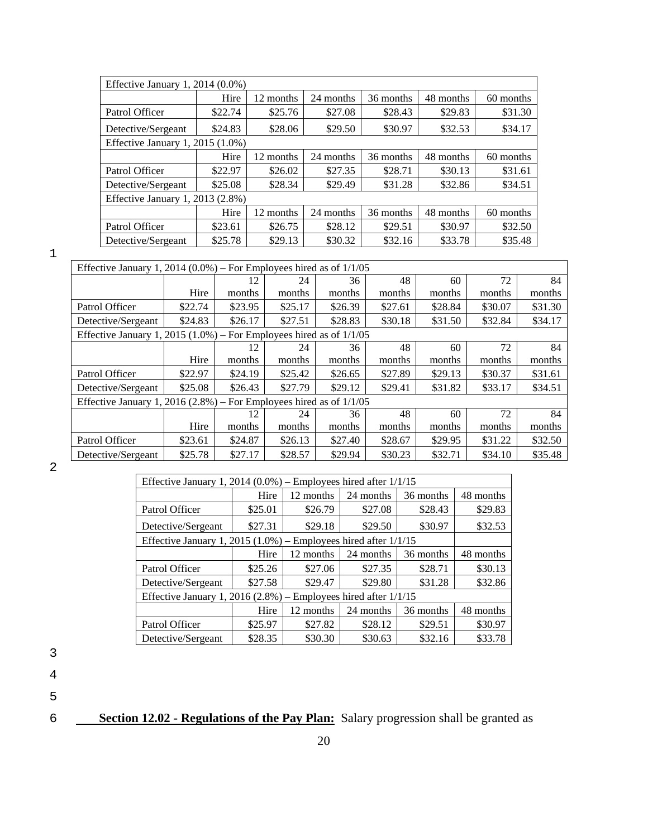| Effective January 1, 2014 $(0.0\%)$ |         |           |           |           |           |           |
|-------------------------------------|---------|-----------|-----------|-----------|-----------|-----------|
|                                     | Hire    | 12 months | 24 months | 36 months | 48 months | 60 months |
| Patrol Officer                      | \$22.74 | \$25.76   | \$27.08   | \$28.43   | \$29.83   | \$31.30   |
| Detective/Sergeant                  | \$24.83 | \$28.06   | \$29.50   | \$30.97   | \$32.53   | \$34.17   |
| Effective January 1, 2015 (1.0%)    |         |           |           |           |           |           |
|                                     | Hire    | 12 months | 24 months | 36 months | 48 months | 60 months |
| Patrol Officer                      | \$22.97 | \$26.02   | \$27.35   | \$28.71   | \$30.13   | \$31.61   |
| Detective/Sergeant                  | \$25.08 | \$28.34   | \$29.49   | \$31.28   | \$32.86   | \$34.51   |
| Effective January 1, 2013 (2.8%)    |         |           |           |           |           |           |
|                                     | Hire    | 12 months | 24 months | 36 months | 48 months | 60 months |
| Patrol Officer                      | \$23.61 | \$26.75   | \$28.12   | \$29.51   | \$30.97   | \$32.50   |
| Detective/Sergeant                  | \$25.78 | \$29.13   | \$30.32   | \$32.16   | \$33.78   | \$35.48   |

1

| Effective January 1, 2014 (0.0%) – For Employees hired as of $1/1/05$    |         |         |         |         |         |         |         |         |
|--------------------------------------------------------------------------|---------|---------|---------|---------|---------|---------|---------|---------|
|                                                                          |         | 12      | 24      | 36      | 48      | 60      | 72      | 84      |
|                                                                          | Hire    | months  | months  | months  | months  | months  | months  | months  |
| Patrol Officer                                                           | \$22.74 | \$23.95 | \$25.17 | \$26.39 | \$27.61 | \$28.84 | \$30.07 | \$31.30 |
| Detective/Sergeant                                                       | \$24.83 | \$26.17 | \$27.51 | \$28.83 | \$30.18 | \$31.50 | \$32.84 | \$34.17 |
| Effective January 1, 2015 $(1.0\%)$ – For Employees hired as of $1/1/05$ |         |         |         |         |         |         |         |         |
|                                                                          |         | 12      | 24      | 36      | 48      | 60      | 72      | 84      |
|                                                                          | Hire    | months  | months  | months  | months  | months  | months  | months  |
| Patrol Officer                                                           | \$22.97 | \$24.19 | \$25.42 | \$26.65 | \$27.89 | \$29.13 | \$30.37 | \$31.61 |
| Detective/Sergeant                                                       | \$25.08 | \$26.43 | \$27.79 | \$29.12 | \$29.41 | \$31.82 | \$33.17 | \$34.51 |
| Effective January 1, 2016 (2.8%) – For Employees hired as of $1/1/05$    |         |         |         |         |         |         |         |         |
|                                                                          |         | 12      | 24      | 36      | 48      | 60      | 72      | 84      |
|                                                                          | Hire    | months  | months  | months  | months  | months  | months  | months  |
| Patrol Officer                                                           | \$23.61 | \$24.87 | \$26.13 | \$27.40 | \$28.67 | \$29.95 | \$31.22 | \$32.50 |
| Detective/Sergeant                                                       | \$25.78 | \$27.17 | \$28.57 | \$29.94 | \$30.23 | \$32.71 | \$34.10 | \$35.48 |

2

| Effective January 1, 2014 (0.0%) – Employees hired after $1/1/15$    |         |           |           |           |           |
|----------------------------------------------------------------------|---------|-----------|-----------|-----------|-----------|
|                                                                      | Hire    | 12 months | 24 months | 36 months | 48 months |
| Patrol Officer                                                       | \$25.01 | \$26.79   | \$27.08   | \$28.43   | \$29.83   |
| Detective/Sergeant                                                   | \$27.31 | \$29.18   | \$29.50   | \$30.97   | \$32.53   |
| Effective January 1, 2015 $(1.0\%)$ – Employees hired after $1/1/15$ |         |           |           |           |           |
|                                                                      | Hire    | 12 months | 24 months | 36 months | 48 months |
| Patrol Officer                                                       | \$25.26 | \$27.06   | \$27.35   | \$28.71   | \$30.13   |
| Detective/Sergeant                                                   | \$27.58 | \$29.47   | \$29.80   | \$31.28   | \$32.86   |
| Effective January 1, 2016 $(2.8\%)$ – Employees hired after $1/1/15$ |         |           |           |           |           |
|                                                                      | Hire    | 12 months | 24 months | 36 months | 48 months |
| Patrol Officer                                                       | \$25.97 | \$27.82   | \$28.12   | \$29.51   | \$30.97   |
| Detective/Sergeant                                                   | \$28.35 | \$30.30   | \$30.63   | \$32.16   | \$33.78   |

3

4

6 **Section 12.02 - Regulations of the Pay Plan:** Salary progression shall be granted as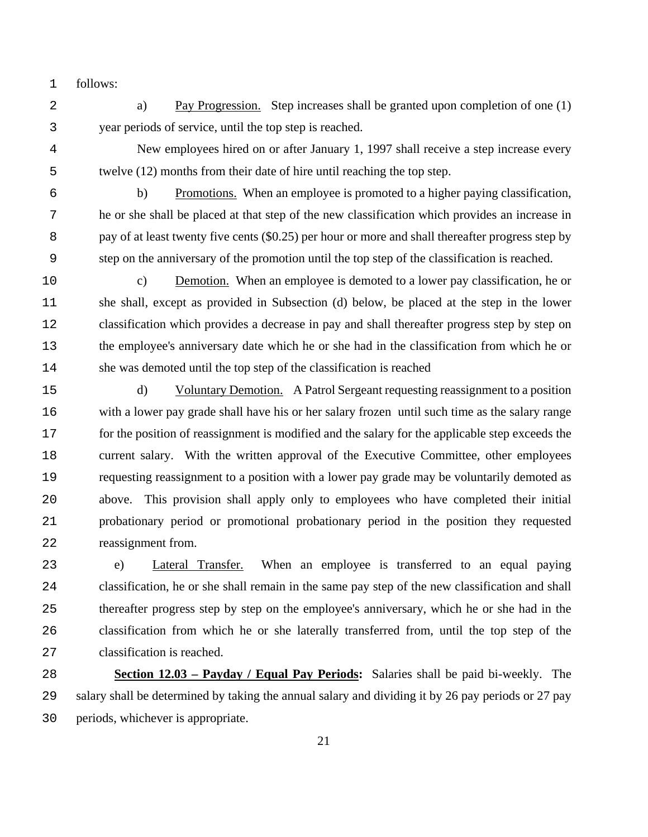follows:

a) Pay Progression. Step increases shall be granted upon completion of one (1) year periods of service, until the top step is reached.

New employees hired on or after January 1, 1997 shall receive a step increase every twelve (12) months from their date of hire until reaching the top step.

b) Promotions. When an employee is promoted to a higher paying classification, he or she shall be placed at that step of the new classification which provides an increase in 8 pay of at least twenty five cents (\$0.25) per hour or more and shall thereafter progress step by step on the anniversary of the promotion until the top step of the classification is reached.

c) Demotion. When an employee is demoted to a lower pay classification, he or she shall, except as provided in Subsection (d) below, be placed at the step in the lower classification which provides a decrease in pay and shall thereafter progress step by step on the employee's anniversary date which he or she had in the classification from which he or she was demoted until the top step of the classification is reached

d) Voluntary Demotion. A Patrol Sergeant requesting reassignment to a position with a lower pay grade shall have his or her salary frozen until such time as the salary range for the position of reassignment is modified and the salary for the applicable step exceeds the current salary. With the written approval of the Executive Committee, other employees requesting reassignment to a position with a lower pay grade may be voluntarily demoted as above. This provision shall apply only to employees who have completed their initial probationary period or promotional probationary period in the position they requested reassignment from.

e) Lateral Transfer. When an employee is transferred to an equal paying classification, he or she shall remain in the same pay step of the new classification and shall thereafter progress step by step on the employee's anniversary, which he or she had in the classification from which he or she laterally transferred from, until the top step of the classification is reached.

**Section 12.03 – Payday / Equal Pay Periods:** Salaries shall be paid bi-weekly. The salary shall be determined by taking the annual salary and dividing it by 26 pay periods or 27 pay periods, whichever is appropriate.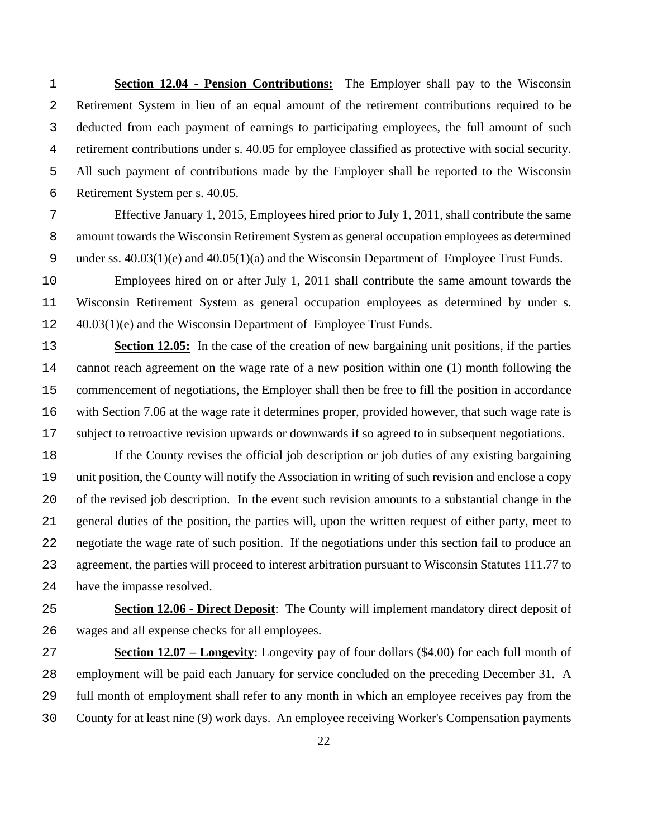**Section 12.04 - Pension Contributions:** The Employer shall pay to the Wisconsin Retirement System in lieu of an equal amount of the retirement contributions required to be deducted from each payment of earnings to participating employees, the full amount of such retirement contributions under s. 40.05 for employee classified as protective with social security. All such payment of contributions made by the Employer shall be reported to the Wisconsin Retirement System per s. 40.05.

Effective January 1, 2015, Employees hired prior to July 1, 2011, shall contribute the same amount towards the Wisconsin Retirement System as general occupation employees as determined under ss. 40.03(1)(e) and 40.05(1)(a) and the Wisconsin Department of Employee Trust Funds.

Employees hired on or after July 1, 2011 shall contribute the same amount towards the Wisconsin Retirement System as general occupation employees as determined by under s. 40.03(1)(e) and the Wisconsin Department of Employee Trust Funds.

**Section 12.05:** In the case of the creation of new bargaining unit positions, if the parties cannot reach agreement on the wage rate of a new position within one (1) month following the commencement of negotiations, the Employer shall then be free to fill the position in accordance with Section 7.06 at the wage rate it determines proper, provided however, that such wage rate is subject to retroactive revision upwards or downwards if so agreed to in subsequent negotiations.

If the County revises the official job description or job duties of any existing bargaining unit position, the County will notify the Association in writing of such revision and enclose a copy of the revised job description. In the event such revision amounts to a substantial change in the general duties of the position, the parties will, upon the written request of either party, meet to negotiate the wage rate of such position. If the negotiations under this section fail to produce an agreement, the parties will proceed to interest arbitration pursuant to Wisconsin Statutes 111.77 to have the impasse resolved.

**Section 12.06 - Direct Deposit**: The County will implement mandatory direct deposit of wages and all expense checks for all employees.

**Section 12.07 – Longevity**: Longevity pay of four dollars (\$4.00) for each full month of employment will be paid each January for service concluded on the preceding December 31. A full month of employment shall refer to any month in which an employee receives pay from the County for at least nine (9) work days. An employee receiving Worker's Compensation payments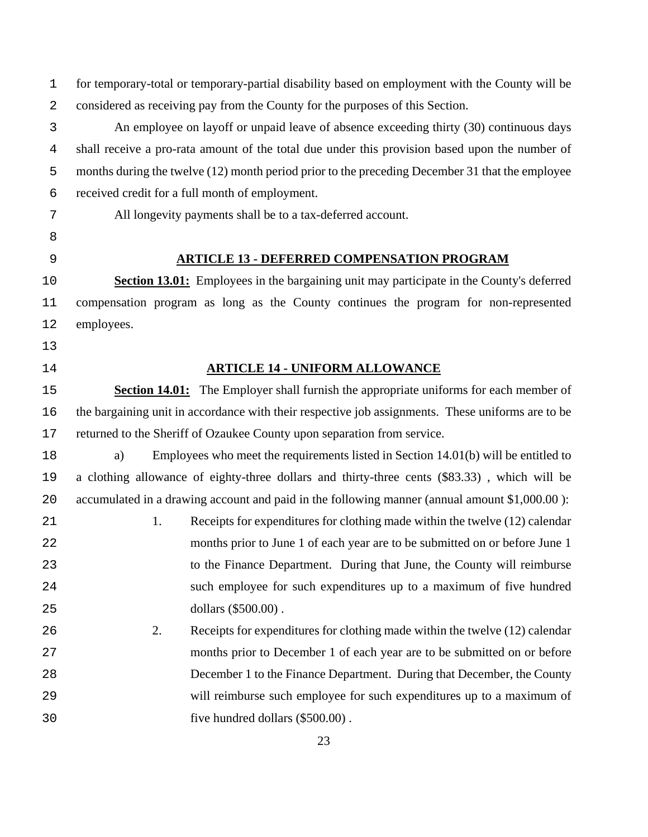for temporary-total or temporary-partial disability based on employment with the County will be considered as receiving pay from the County for the purposes of this Section. An employee on layoff or unpaid leave of absence exceeding thirty (30) continuous days shall receive a pro-rata amount of the total due under this provision based upon the number of months during the twelve (12) month period prior to the preceding December 31 that the employee received credit for a full month of employment. All longevity payments shall be to a tax-deferred account. **ARTICLE 13 - DEFERRED COMPENSATION PROGRAM Section 13.01:** Employees in the bargaining unit may participate in the County's deferred compensation program as long as the County continues the program for non-represented employees. **ARTICLE 14 - UNIFORM ALLOWANCE Section 14.01:** The Employer shall furnish the appropriate uniforms for each member of the bargaining unit in accordance with their respective job assignments. These uniforms are to be returned to the Sheriff of Ozaukee County upon separation from service. a) Employees who meet the requirements listed in Section 14.01(b) will be entitled to a clothing allowance of eighty-three dollars and thirty-three cents (\$83.33) , which will be accumulated in a drawing account and paid in the following manner (annual amount \$1,000.00 ): 21 1. Receipts for expenditures for clothing made within the twelve (12) calendar months prior to June 1 of each year are to be submitted on or before June 1 to the Finance Department. During that June, the County will reimburse such employee for such expenditures up to a maximum of five hundred dollars (\$500.00) . 2. Receipts for expenditures for clothing made within the twelve (12) calendar months prior to December 1 of each year are to be submitted on or before December 1 to the Finance Department. During that December, the County will reimburse such employee for such expenditures up to a maximum of five hundred dollars (\$500.00) .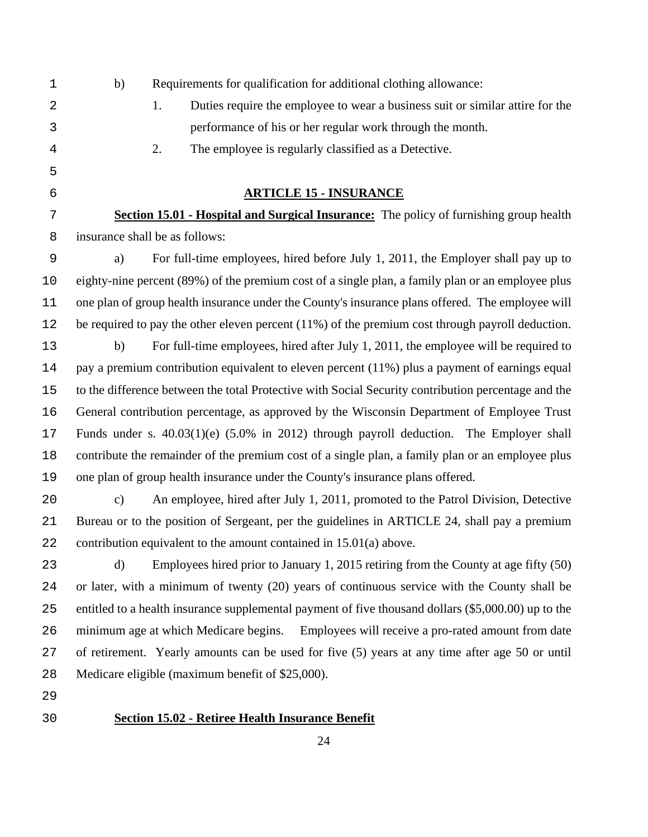| $\mathbf 1$    | b)            | Requirements for qualification for additional clothing allowance:                                   |
|----------------|---------------|-----------------------------------------------------------------------------------------------------|
| 2              |               | Duties require the employee to wear a business suit or similar attire for the<br>1.                 |
| 3              |               | performance of his or her regular work through the month.                                           |
| $\overline{4}$ |               | 2.<br>The employee is regularly classified as a Detective.                                          |
| 5              |               |                                                                                                     |
| 6              |               | <b>ARTICLE 15 - INSURANCE</b>                                                                       |
| 7              |               | <b>Section 15.01 - Hospital and Surgical Insurance:</b> The policy of furnishing group health       |
| 8              |               | insurance shall be as follows:                                                                      |
| $\mathsf 9$    | a)            | For full-time employees, hired before July 1, 2011, the Employer shall pay up to                    |
| 10             |               | eighty-nine percent (89%) of the premium cost of a single plan, a family plan or an employee plus   |
| 11             |               | one plan of group health insurance under the County's insurance plans offered. The employee will    |
| 12             |               | be required to pay the other eleven percent $(11\%)$ of the premium cost through payroll deduction. |
| 13             | b)            | For full-time employees, hired after July 1, 2011, the employee will be required to                 |
| 14             |               | pay a premium contribution equivalent to eleven percent (11%) plus a payment of earnings equal      |
| 15             |               | to the difference between the total Protective with Social Security contribution percentage and the |
| 16             |               | General contribution percentage, as approved by the Wisconsin Department of Employee Trust          |
| 17             |               | Funds under s. $40.03(1)(e)$ (5.0% in 2012) through payroll deduction. The Employer shall           |
| 18             |               | contribute the remainder of the premium cost of a single plan, a family plan or an employee plus    |
| 19             |               | one plan of group health insurance under the County's insurance plans offered.                      |
| 20             | $\mathbf{c})$ | An employee, hired after July 1, 2011, promoted to the Patrol Division, Detective                   |
| 21             |               | Bureau or to the position of Sergeant, per the guidelines in ARTICLE 24, shall pay a premium        |
| 22             |               | contribution equivalent to the amount contained in 15.01(a) above.                                  |
| 23             | d)            | Employees hired prior to January 1, 2015 retiring from the County at age fifty (50)                 |
| 24             |               | or later, with a minimum of twenty (20) years of continuous service with the County shall be        |
| 25             |               | entitled to a health insurance supplemental payment of five thousand dollars (\$5,000.00) up to the |
| 26             |               | minimum age at which Medicare begins. Employees will receive a pro-rated amount from date           |
| 27             |               | of retirement. Yearly amounts can be used for five (5) years at any time after age 50 or until      |
| 28             |               | Medicare eligible (maximum benefit of \$25,000).                                                    |
| 29             |               |                                                                                                     |
| 30             |               | <b>Section 15.02 - Retiree Health Insurance Benefit</b>                                             |
|                |               | 24                                                                                                  |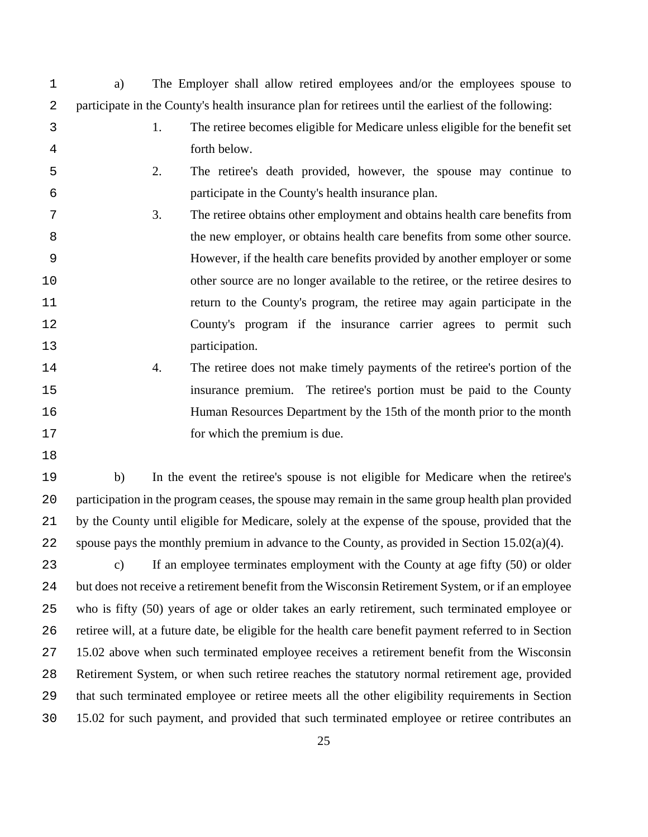- a) The Employer shall allow retired employees and/or the employees spouse to participate in the County's health insurance plan for retirees until the earliest of the following:
- 1. The retiree becomes eligible for Medicare unless eligible for the benefit set forth below.
- 2. The retiree's death provided, however, the spouse may continue to participate in the County's health insurance plan.
- 3. The retiree obtains other employment and obtains health care benefits from the new employer, or obtains health care benefits from some other source. However, if the health care benefits provided by another employer or some other source are no longer available to the retiree, or the retiree desires to return to the County's program, the retiree may again participate in the County's program if the insurance carrier agrees to permit such participation.
- 4. The retiree does not make timely payments of the retiree's portion of the insurance premium. The retiree's portion must be paid to the County Human Resources Department by the 15th of the month prior to the month for which the premium is due.
- 
- b) In the event the retiree's spouse is not eligible for Medicare when the retiree's participation in the program ceases, the spouse may remain in the same group health plan provided by the County until eligible for Medicare, solely at the expense of the spouse, provided that the spouse pays the monthly premium in advance to the County, as provided in Section 15.02(a)(4).

23 c) If an employee terminates employment with the County at age fifty (50) or older but does not receive a retirement benefit from the Wisconsin Retirement System, or if an employee who is fifty (50) years of age or older takes an early retirement, such terminated employee or retiree will, at a future date, be eligible for the health care benefit payment referred to in Section 15.02 above when such terminated employee receives a retirement benefit from the Wisconsin Retirement System, or when such retiree reaches the statutory normal retirement age, provided that such terminated employee or retiree meets all the other eligibility requirements in Section 15.02 for such payment, and provided that such terminated employee or retiree contributes an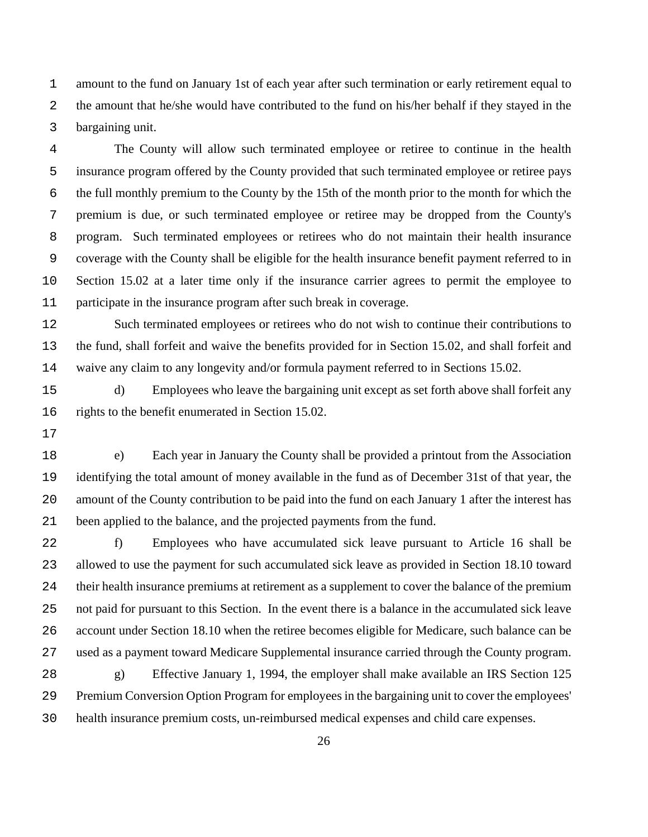amount to the fund on January 1st of each year after such termination or early retirement equal to the amount that he/she would have contributed to the fund on his/her behalf if they stayed in the bargaining unit.

The County will allow such terminated employee or retiree to continue in the health insurance program offered by the County provided that such terminated employee or retiree pays the full monthly premium to the County by the 15th of the month prior to the month for which the premium is due, or such terminated employee or retiree may be dropped from the County's program. Such terminated employees or retirees who do not maintain their health insurance coverage with the County shall be eligible for the health insurance benefit payment referred to in Section 15.02 at a later time only if the insurance carrier agrees to permit the employee to participate in the insurance program after such break in coverage.

Such terminated employees or retirees who do not wish to continue their contributions to the fund, shall forfeit and waive the benefits provided for in Section 15.02, and shall forfeit and waive any claim to any longevity and/or formula payment referred to in Sections 15.02.

d) Employees who leave the bargaining unit except as set forth above shall forfeit any rights to the benefit enumerated in Section 15.02.

e) Each year in January the County shall be provided a printout from the Association identifying the total amount of money available in the fund as of December 31st of that year, the amount of the County contribution to be paid into the fund on each January 1 after the interest has been applied to the balance, and the projected payments from the fund.

f) Employees who have accumulated sick leave pursuant to Article 16 shall be allowed to use the payment for such accumulated sick leave as provided in Section 18.10 toward their health insurance premiums at retirement as a supplement to cover the balance of the premium not paid for pursuant to this Section. In the event there is a balance in the accumulated sick leave account under Section 18.10 when the retiree becomes eligible for Medicare, such balance can be used as a payment toward Medicare Supplemental insurance carried through the County program. g) Effective January 1, 1994, the employer shall make available an IRS Section 125

Premium Conversion Option Program for employees in the bargaining unit to cover the employees' health insurance premium costs, un-reimbursed medical expenses and child care expenses.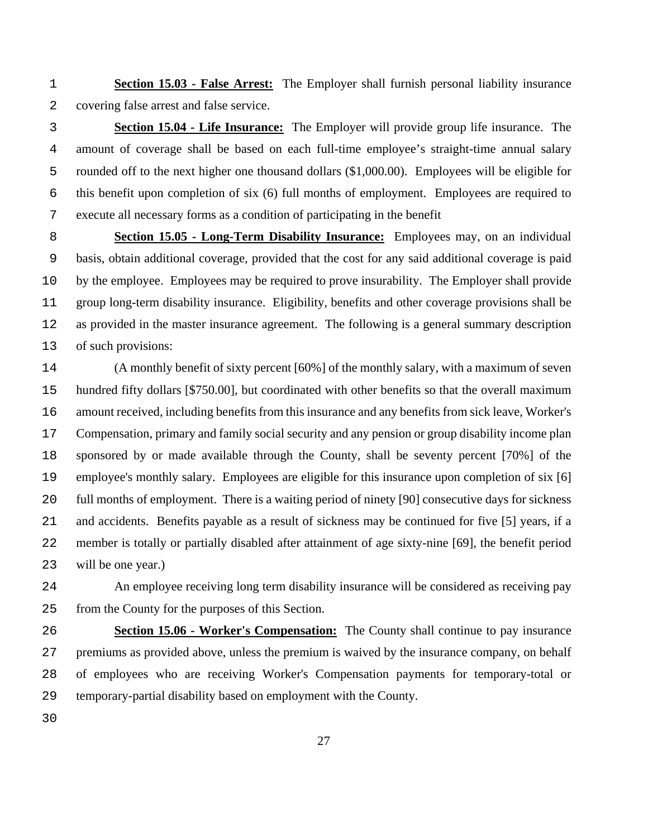**Section 15.03 - False Arrest:** The Employer shall furnish personal liability insurance covering false arrest and false service.

**Section 15.04 - Life Insurance:** The Employer will provide group life insurance. The amount of coverage shall be based on each full-time employee's straight-time annual salary rounded off to the next higher one thousand dollars (\$1,000.00). Employees will be eligible for this benefit upon completion of six (6) full months of employment. Employees are required to execute all necessary forms as a condition of participating in the benefit

**Section 15.05 - Long-Term Disability Insurance:** Employees may, on an individual basis, obtain additional coverage, provided that the cost for any said additional coverage is paid by the employee. Employees may be required to prove insurability. The Employer shall provide group long-term disability insurance. Eligibility, benefits and other coverage provisions shall be as provided in the master insurance agreement. The following is a general summary description of such provisions:

(A monthly benefit of sixty percent [60%] of the monthly salary, with a maximum of seven hundred fifty dollars [\$750.00], but coordinated with other benefits so that the overall maximum amount received, including benefits from this insurance and any benefits from sick leave, Worker's Compensation, primary and family social security and any pension or group disability income plan sponsored by or made available through the County, shall be seventy percent [70%] of the employee's monthly salary. Employees are eligible for this insurance upon completion of six [6] full months of employment. There is a waiting period of ninety [90] consecutive days for sickness and accidents. Benefits payable as a result of sickness may be continued for five [5] years, if a member is totally or partially disabled after attainment of age sixty-nine [69], the benefit period will be one year.)

An employee receiving long term disability insurance will be considered as receiving pay from the County for the purposes of this Section.

**Section 15.06 - Worker's Compensation:** The County shall continue to pay insurance premiums as provided above, unless the premium is waived by the insurance company, on behalf of employees who are receiving Worker's Compensation payments for temporary-total or temporary-partial disability based on employment with the County.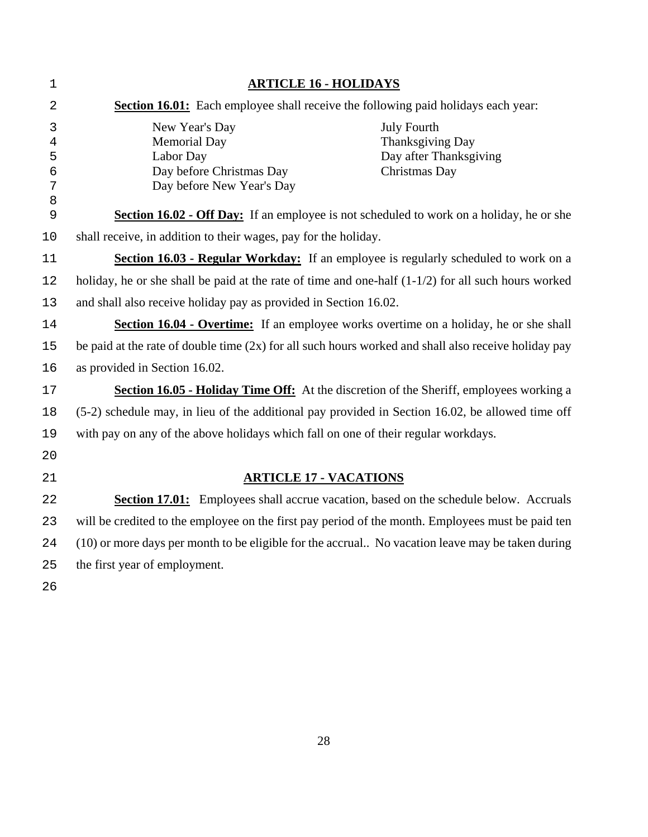| 1                                                    | <b>ARTICLE 16 - HOLIDAYS</b>                                                                                |                                                                                   |  |  |  |  |
|------------------------------------------------------|-------------------------------------------------------------------------------------------------------------|-----------------------------------------------------------------------------------|--|--|--|--|
| $\overline{2}$                                       | <b>Section 16.01:</b> Each employee shall receive the following paid holidays each year:                    |                                                                                   |  |  |  |  |
| 3<br>$\overline{4}$<br>5<br>$\overline{6}$<br>7<br>8 | New Year's Day<br><b>Memorial Day</b><br>Labor Day<br>Day before Christmas Day<br>Day before New Year's Day | <b>July Fourth</b><br>Thanksgiving Day<br>Day after Thanksgiving<br>Christmas Day |  |  |  |  |
| 9                                                    | Section 16.02 - Off Day: If an employee is not scheduled to work on a holiday, he or she                    |                                                                                   |  |  |  |  |
| 10                                                   | shall receive, in addition to their wages, pay for the holiday.                                             |                                                                                   |  |  |  |  |
| 11                                                   | Section 16.03 - Regular Workday: If an employee is regularly scheduled to work on a                         |                                                                                   |  |  |  |  |
| 12                                                   | holiday, he or she shall be paid at the rate of time and one-half $(1-1/2)$ for all such hours worked       |                                                                                   |  |  |  |  |
| 13                                                   | and shall also receive holiday pay as provided in Section 16.02.                                            |                                                                                   |  |  |  |  |
| 14                                                   | Section 16.04 - Overtime: If an employee works overtime on a holiday, he or she shall                       |                                                                                   |  |  |  |  |
| 15                                                   | be paid at the rate of double time $(2x)$ for all such hours worked and shall also receive holiday pay      |                                                                                   |  |  |  |  |
| 16                                                   | as provided in Section 16.02.                                                                               |                                                                                   |  |  |  |  |
| $17$                                                 | Section 16.05 - Holiday Time Off: At the discretion of the Sheriff, employees working a                     |                                                                                   |  |  |  |  |
| 18                                                   | (5-2) schedule may, in lieu of the additional pay provided in Section 16.02, be allowed time off            |                                                                                   |  |  |  |  |
| 19                                                   | with pay on any of the above holidays which fall on one of their regular workdays.                          |                                                                                   |  |  |  |  |
| 20                                                   |                                                                                                             |                                                                                   |  |  |  |  |
| 21                                                   | <b>ARTICLE 17 - VACATIONS</b>                                                                               |                                                                                   |  |  |  |  |
| 22                                                   | <b>Section 17.01:</b> Employees shall accrue vacation, based on the schedule below. Accruals                |                                                                                   |  |  |  |  |
| 23                                                   | will be credited to the employee on the first pay period of the month. Employees must be paid ten           |                                                                                   |  |  |  |  |
| 24                                                   | (10) or more days per month to be eligible for the accrual No vacation leave may be taken during            |                                                                                   |  |  |  |  |
| 25                                                   | the first year of employment.                                                                               |                                                                                   |  |  |  |  |
| 26                                                   |                                                                                                             |                                                                                   |  |  |  |  |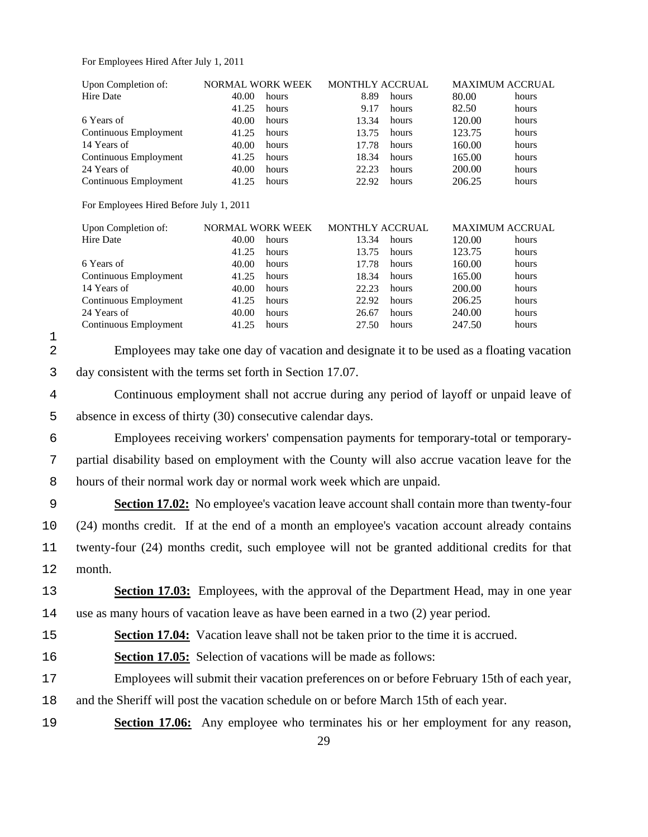For Employees Hired After July 1, 2011

| Upon Completion of:                                                                              |                                                                                                                                                                                                                                                     |                                                                                                                                            |                                                                                                                                |                                                                                                                                                                                                                            |                                                                                                                              | MAXIMUM ACCRUAL                                                                                                                                                                                                                                                                                                                                                                                                                                                                                                                                                                                                                                                                                                                                                                                                                                |
|--------------------------------------------------------------------------------------------------|-----------------------------------------------------------------------------------------------------------------------------------------------------------------------------------------------------------------------------------------------------|--------------------------------------------------------------------------------------------------------------------------------------------|--------------------------------------------------------------------------------------------------------------------------------|----------------------------------------------------------------------------------------------------------------------------------------------------------------------------------------------------------------------------|------------------------------------------------------------------------------------------------------------------------------|------------------------------------------------------------------------------------------------------------------------------------------------------------------------------------------------------------------------------------------------------------------------------------------------------------------------------------------------------------------------------------------------------------------------------------------------------------------------------------------------------------------------------------------------------------------------------------------------------------------------------------------------------------------------------------------------------------------------------------------------------------------------------------------------------------------------------------------------|
| Hire Date                                                                                        | 40.00                                                                                                                                                                                                                                               | hours                                                                                                                                      | 8.89                                                                                                                           | hours                                                                                                                                                                                                                      | 80.00                                                                                                                        | hours                                                                                                                                                                                                                                                                                                                                                                                                                                                                                                                                                                                                                                                                                                                                                                                                                                          |
|                                                                                                  |                                                                                                                                                                                                                                                     | hours                                                                                                                                      |                                                                                                                                | hours                                                                                                                                                                                                                      |                                                                                                                              | hours                                                                                                                                                                                                                                                                                                                                                                                                                                                                                                                                                                                                                                                                                                                                                                                                                                          |
|                                                                                                  |                                                                                                                                                                                                                                                     |                                                                                                                                            |                                                                                                                                |                                                                                                                                                                                                                            |                                                                                                                              | hours                                                                                                                                                                                                                                                                                                                                                                                                                                                                                                                                                                                                                                                                                                                                                                                                                                          |
|                                                                                                  |                                                                                                                                                                                                                                                     |                                                                                                                                            |                                                                                                                                |                                                                                                                                                                                                                            |                                                                                                                              | hours                                                                                                                                                                                                                                                                                                                                                                                                                                                                                                                                                                                                                                                                                                                                                                                                                                          |
|                                                                                                  |                                                                                                                                                                                                                                                     |                                                                                                                                            |                                                                                                                                |                                                                                                                                                                                                                            |                                                                                                                              | hours                                                                                                                                                                                                                                                                                                                                                                                                                                                                                                                                                                                                                                                                                                                                                                                                                                          |
|                                                                                                  |                                                                                                                                                                                                                                                     |                                                                                                                                            |                                                                                                                                |                                                                                                                                                                                                                            |                                                                                                                              | hours<br>hours                                                                                                                                                                                                                                                                                                                                                                                                                                                                                                                                                                                                                                                                                                                                                                                                                                 |
|                                                                                                  |                                                                                                                                                                                                                                                     |                                                                                                                                            |                                                                                                                                |                                                                                                                                                                                                                            |                                                                                                                              | hours                                                                                                                                                                                                                                                                                                                                                                                                                                                                                                                                                                                                                                                                                                                                                                                                                                          |
|                                                                                                  |                                                                                                                                                                                                                                                     |                                                                                                                                            |                                                                                                                                |                                                                                                                                                                                                                            |                                                                                                                              |                                                                                                                                                                                                                                                                                                                                                                                                                                                                                                                                                                                                                                                                                                                                                                                                                                                |
|                                                                                                  |                                                                                                                                                                                                                                                     |                                                                                                                                            |                                                                                                                                |                                                                                                                                                                                                                            |                                                                                                                              |                                                                                                                                                                                                                                                                                                                                                                                                                                                                                                                                                                                                                                                                                                                                                                                                                                                |
|                                                                                                  |                                                                                                                                                                                                                                                     |                                                                                                                                            |                                                                                                                                |                                                                                                                                                                                                                            |                                                                                                                              | <b>MAXIMUM ACCRUAL</b>                                                                                                                                                                                                                                                                                                                                                                                                                                                                                                                                                                                                                                                                                                                                                                                                                         |
| Hire Date                                                                                        | 40.00                                                                                                                                                                                                                                               | hours                                                                                                                                      | 13.34                                                                                                                          | hours                                                                                                                                                                                                                      | 120.00                                                                                                                       | hours                                                                                                                                                                                                                                                                                                                                                                                                                                                                                                                                                                                                                                                                                                                                                                                                                                          |
|                                                                                                  | 41.25                                                                                                                                                                                                                                               | hours                                                                                                                                      | 13.75                                                                                                                          | hours                                                                                                                                                                                                                      | 123.75                                                                                                                       | hours                                                                                                                                                                                                                                                                                                                                                                                                                                                                                                                                                                                                                                                                                                                                                                                                                                          |
| 6 Years of                                                                                       | 40.00                                                                                                                                                                                                                                               | hours                                                                                                                                      | 17.78                                                                                                                          | hours                                                                                                                                                                                                                      | 160.00                                                                                                                       | hours                                                                                                                                                                                                                                                                                                                                                                                                                                                                                                                                                                                                                                                                                                                                                                                                                                          |
|                                                                                                  | 41.25                                                                                                                                                                                                                                               | hours                                                                                                                                      | 18.34                                                                                                                          | hours                                                                                                                                                                                                                      | 165.00                                                                                                                       | hours                                                                                                                                                                                                                                                                                                                                                                                                                                                                                                                                                                                                                                                                                                                                                                                                                                          |
|                                                                                                  |                                                                                                                                                                                                                                                     |                                                                                                                                            |                                                                                                                                |                                                                                                                                                                                                                            |                                                                                                                              | hours                                                                                                                                                                                                                                                                                                                                                                                                                                                                                                                                                                                                                                                                                                                                                                                                                                          |
|                                                                                                  |                                                                                                                                                                                                                                                     |                                                                                                                                            |                                                                                                                                |                                                                                                                                                                                                                            |                                                                                                                              | hours                                                                                                                                                                                                                                                                                                                                                                                                                                                                                                                                                                                                                                                                                                                                                                                                                                          |
|                                                                                                  |                                                                                                                                                                                                                                                     |                                                                                                                                            |                                                                                                                                |                                                                                                                                                                                                                            |                                                                                                                              | hours                                                                                                                                                                                                                                                                                                                                                                                                                                                                                                                                                                                                                                                                                                                                                                                                                                          |
|                                                                                                  |                                                                                                                                                                                                                                                     |                                                                                                                                            |                                                                                                                                |                                                                                                                                                                                                                            |                                                                                                                              | hours                                                                                                                                                                                                                                                                                                                                                                                                                                                                                                                                                                                                                                                                                                                                                                                                                                          |
|                                                                                                  |                                                                                                                                                                                                                                                     |                                                                                                                                            |                                                                                                                                |                                                                                                                                                                                                                            |                                                                                                                              |                                                                                                                                                                                                                                                                                                                                                                                                                                                                                                                                                                                                                                                                                                                                                                                                                                                |
|                                                                                                  |                                                                                                                                                                                                                                                     |                                                                                                                                            |                                                                                                                                |                                                                                                                                                                                                                            |                                                                                                                              |                                                                                                                                                                                                                                                                                                                                                                                                                                                                                                                                                                                                                                                                                                                                                                                                                                                |
| Continuous employment shall not accrue during any period of layoff or unpaid leave of            |                                                                                                                                                                                                                                                     |                                                                                                                                            |                                                                                                                                |                                                                                                                                                                                                                            |                                                                                                                              |                                                                                                                                                                                                                                                                                                                                                                                                                                                                                                                                                                                                                                                                                                                                                                                                                                                |
|                                                                                                  |                                                                                                                                                                                                                                                     |                                                                                                                                            |                                                                                                                                |                                                                                                                                                                                                                            |                                                                                                                              |                                                                                                                                                                                                                                                                                                                                                                                                                                                                                                                                                                                                                                                                                                                                                                                                                                                |
|                                                                                                  |                                                                                                                                                                                                                                                     |                                                                                                                                            |                                                                                                                                |                                                                                                                                                                                                                            |                                                                                                                              |                                                                                                                                                                                                                                                                                                                                                                                                                                                                                                                                                                                                                                                                                                                                                                                                                                                |
| partial disability based on employment with the County will also accrue vacation leave for the   |                                                                                                                                                                                                                                                     |                                                                                                                                            |                                                                                                                                |                                                                                                                                                                                                                            |                                                                                                                              |                                                                                                                                                                                                                                                                                                                                                                                                                                                                                                                                                                                                                                                                                                                                                                                                                                                |
|                                                                                                  |                                                                                                                                                                                                                                                     |                                                                                                                                            |                                                                                                                                |                                                                                                                                                                                                                            |                                                                                                                              |                                                                                                                                                                                                                                                                                                                                                                                                                                                                                                                                                                                                                                                                                                                                                                                                                                                |
|                                                                                                  |                                                                                                                                                                                                                                                     |                                                                                                                                            |                                                                                                                                |                                                                                                                                                                                                                            |                                                                                                                              |                                                                                                                                                                                                                                                                                                                                                                                                                                                                                                                                                                                                                                                                                                                                                                                                                                                |
|                                                                                                  |                                                                                                                                                                                                                                                     |                                                                                                                                            |                                                                                                                                |                                                                                                                                                                                                                            |                                                                                                                              |                                                                                                                                                                                                                                                                                                                                                                                                                                                                                                                                                                                                                                                                                                                                                                                                                                                |
|                                                                                                  |                                                                                                                                                                                                                                                     |                                                                                                                                            |                                                                                                                                |                                                                                                                                                                                                                            |                                                                                                                              |                                                                                                                                                                                                                                                                                                                                                                                                                                                                                                                                                                                                                                                                                                                                                                                                                                                |
| month.                                                                                           |                                                                                                                                                                                                                                                     |                                                                                                                                            |                                                                                                                                |                                                                                                                                                                                                                            |                                                                                                                              |                                                                                                                                                                                                                                                                                                                                                                                                                                                                                                                                                                                                                                                                                                                                                                                                                                                |
| 13<br><b>Section 17.03:</b> Employees, with the approval of the Department Head, may in one year |                                                                                                                                                                                                                                                     |                                                                                                                                            |                                                                                                                                |                                                                                                                                                                                                                            |                                                                                                                              |                                                                                                                                                                                                                                                                                                                                                                                                                                                                                                                                                                                                                                                                                                                                                                                                                                                |
| 14<br>use as many hours of vacation leave as have been earned in a two (2) year period.          |                                                                                                                                                                                                                                                     |                                                                                                                                            |                                                                                                                                |                                                                                                                                                                                                                            |                                                                                                                              |                                                                                                                                                                                                                                                                                                                                                                                                                                                                                                                                                                                                                                                                                                                                                                                                                                                |
|                                                                                                  |                                                                                                                                                                                                                                                     |                                                                                                                                            |                                                                                                                                |                                                                                                                                                                                                                            |                                                                                                                              |                                                                                                                                                                                                                                                                                                                                                                                                                                                                                                                                                                                                                                                                                                                                                                                                                                                |
|                                                                                                  |                                                                                                                                                                                                                                                     |                                                                                                                                            |                                                                                                                                |                                                                                                                                                                                                                            |                                                                                                                              |                                                                                                                                                                                                                                                                                                                                                                                                                                                                                                                                                                                                                                                                                                                                                                                                                                                |
|                                                                                                  | 6 Years of<br>Continuous Employment<br>14 Years of<br>Continuous Employment<br>24 Years of<br>Continuous Employment<br>Upon Completion of:<br>Continuous Employment<br>14 Years of<br>Continuous Employment<br>24 Years of<br>Continuous Employment | 41.25<br>40.00<br>41.25<br>40.00<br>41.25<br>40.00<br>41.25<br>For Employees Hired Before July 1, 2011<br>40.00<br>41.25<br>40.00<br>41.25 | NORMAL WORK WEEK<br>hours<br>hours<br>hours<br>hours<br>hours<br>hours<br>NORMAL WORK WEEK<br>hours<br>hours<br>hours<br>hours | 9.17<br>13.34<br>13.75<br>17.78<br>18.34<br>22.23<br>22.92<br>22.23<br>22.92<br>26.67<br>27.50<br>day consistent with the terms set forth in Section 17.07.<br>absence in excess of thirty (30) consecutive calendar days. | MONTHLY ACCRUAL<br>hours<br>hours<br>hours<br>hours<br>hours<br>hours<br>MONTHLY ACCRUAL<br>hours<br>hours<br>hours<br>hours | 82.50<br>120.00<br>123.75<br>160.00<br>165.00<br>200.00<br>206.25<br>200.00<br>206.25<br>240.00<br>247.50<br>Employees may take one day of vacation and designate it to be used as a floating vacation<br>Employees receiving workers' compensation payments for temporary-total or temporary-<br>hours of their normal work day or normal work week which are unpaid.<br><b>Section 17.02:</b> No employee's vacation leave account shall contain more than twenty-four<br>(24) months credit. If at the end of a month an employee's vacation account already contains<br>twenty-four (24) months credit, such employee will not be granted additional credits for that<br><b>Section 17.04:</b> Vacation leave shall not be taken prior to the time it is accrued.<br><b>Section 17.05:</b> Selection of vacations will be made as follows: |

- 17 Employees will submit their vacation preferences on or before February 15th of each year, 18 and the Sheriff will post the vacation schedule on or before March 15th of each year.
- 19 **Section 17.06:** Any employee who terminates his or her employment for any reason,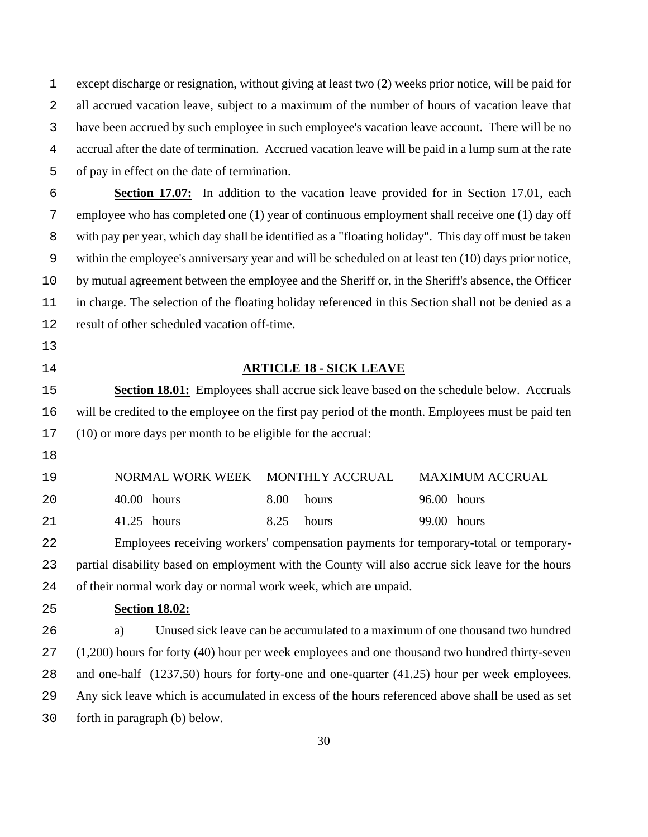except discharge or resignation, without giving at least two (2) weeks prior notice, will be paid for all accrued vacation leave, subject to a maximum of the number of hours of vacation leave that have been accrued by such employee in such employee's vacation leave account. There will be no accrual after the date of termination. Accrued vacation leave will be paid in a lump sum at the rate of pay in effect on the date of termination.

**Section 17.07:** In addition to the vacation leave provided for in Section 17.01, each employee who has completed one (1) year of continuous employment shall receive one (1) day off with pay per year, which day shall be identified as a "floating holiday". This day off must be taken within the employee's anniversary year and will be scheduled on at least ten (10) days prior notice, by mutual agreement between the employee and the Sheriff or, in the Sheriff's absence, the Officer in charge. The selection of the floating holiday referenced in this Section shall not be denied as a result of other scheduled vacation off-time.

- 
- 

### **ARTICLE 18 - SICK LEAVE**

**Section 18.01:** Employees shall accrue sick leave based on the schedule below. Accruals will be credited to the employee on the first pay period of the month. Employees must be paid ten (10) or more days per month to be eligible for the accrual:

| 19 |               | NORMAL WORK WEEK MONTHLY ACCRUAL MAXIMUM ACCRUAL |             |
|----|---------------|--------------------------------------------------|-------------|
| 20 | $40.00$ hours | 8.00 hours                                       | 96.00 hours |
| 21 | 41.25 hours   | 8.25 hours                                       | 99.00 hours |

Employees receiving workers' compensation payments for temporary-total or temporary-partial disability based on employment with the County will also accrue sick leave for the hours of their normal work day or normal work week, which are unpaid.

**Section 18.02:**

a) Unused sick leave can be accumulated to a maximum of one thousand two hundred (1,200) hours for forty (40) hour per week employees and one thousand two hundred thirty-seven and one-half (1237.50) hours for forty-one and one-quarter (41.25) hour per week employees. Any sick leave which is accumulated in excess of the hours referenced above shall be used as set forth in paragraph (b) below.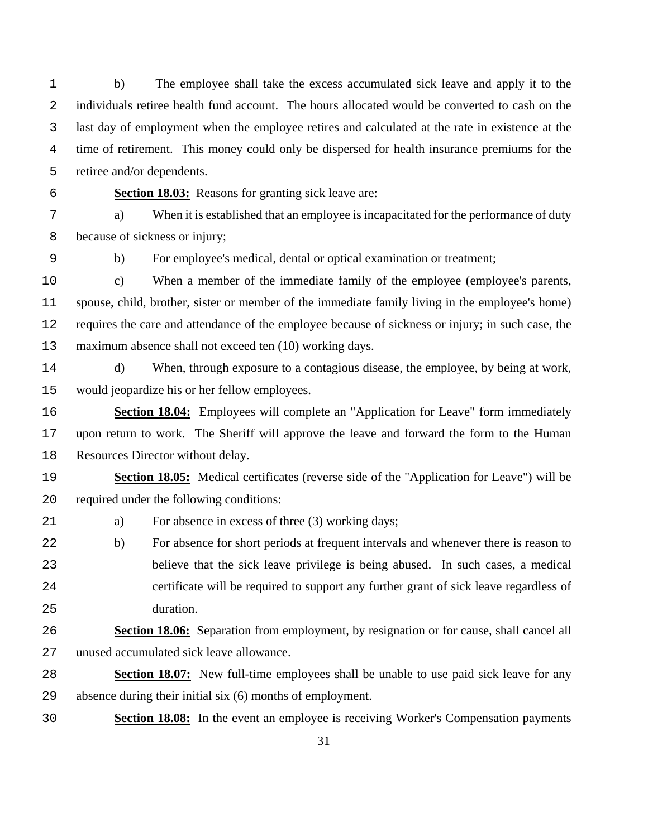b) The employee shall take the excess accumulated sick leave and apply it to the individuals retiree health fund account. The hours allocated would be converted to cash on the last day of employment when the employee retires and calculated at the rate in existence at the time of retirement. This money could only be dispersed for health insurance premiums for the retiree and/or dependents.

**Section 18.03:** Reasons for granting sick leave are:

a) When it is established that an employee is incapacitated for the performance of duty because of sickness or injury;

b) For employee's medical, dental or optical examination or treatment;

c) When a member of the immediate family of the employee (employee's parents, spouse, child, brother, sister or member of the immediate family living in the employee's home) requires the care and attendance of the employee because of sickness or injury; in such case, the maximum absence shall not exceed ten (10) working days.

d) When, through exposure to a contagious disease, the employee, by being at work, would jeopardize his or her fellow employees.

**Section 18.04:** Employees will complete an "Application for Leave" form immediately upon return to work. The Sheriff will approve the leave and forward the form to the Human Resources Director without delay.

**Section 18.05:** Medical certificates (reverse side of the "Application for Leave") will be required under the following conditions:

21 a) For absence in excess of three (3) working days;

b) For absence for short periods at frequent intervals and whenever there is reason to believe that the sick leave privilege is being abused. In such cases, a medical certificate will be required to support any further grant of sick leave regardless of duration.

# **Section 18.06:** Separation from employment, by resignation or for cause, shall cancel all unused accumulated sick leave allowance.

- **Section 18.07:** New full-time employees shall be unable to use paid sick leave for any absence during their initial six (6) months of employment.
- **Section 18.08:** In the event an employee is receiving Worker's Compensation payments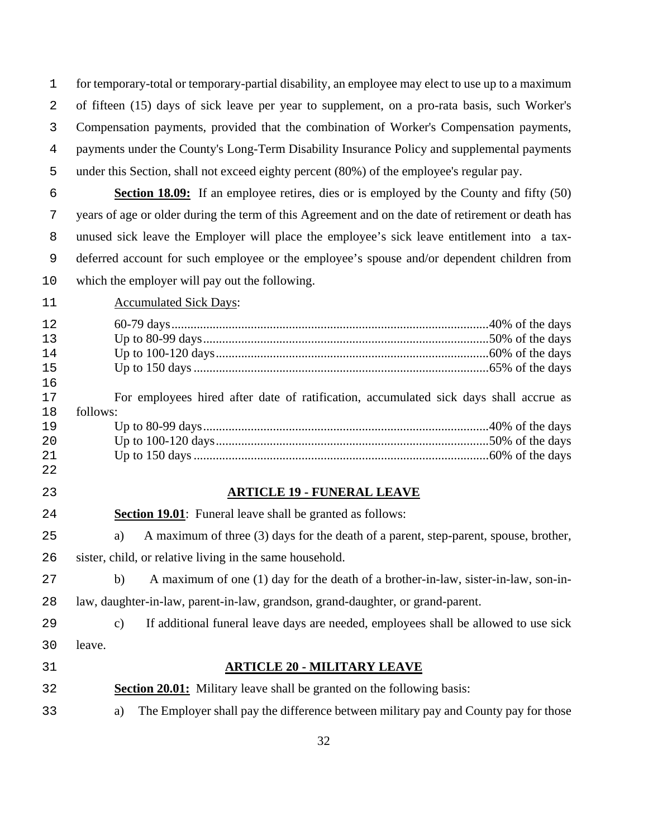for temporary-total or temporary-partial disability, an employee may elect to use up to a maximum of fifteen (15) days of sick leave per year to supplement, on a pro-rata basis, such Worker's Compensation payments, provided that the combination of Worker's Compensation payments, payments under the County's Long-Term Disability Insurance Policy and supplemental payments under this Section, shall not exceed eighty percent (80%) of the employee's regular pay.

**Section 18.09:** If an employee retires, dies or is employed by the County and fifty (50) years of age or older during the term of this Agreement and on the date of retirement or death has unused sick leave the Employer will place the employee's sick leave entitlement into a tax-deferred account for such employee or the employee's spouse and/or dependent children from which the employer will pay out the following.

11 Accumulated Sick Days:

| 12<br>13<br>14<br>15<br>16<br>17<br>18<br>19<br>20<br>21 | For employees hired after date of ratification, accumulated sick days shall accrue as<br>follows:    |
|----------------------------------------------------------|------------------------------------------------------------------------------------------------------|
| 22                                                       |                                                                                                      |
| 23                                                       | <b>ARTICLE 19 - FUNERAL LEAVE</b>                                                                    |
| 24                                                       | <b>Section 19.01:</b> Funeral leave shall be granted as follows:                                     |
| 25                                                       | A maximum of three (3) days for the death of a parent, step-parent, spouse, brother,<br>a)           |
| 26                                                       | sister, child, or relative living in the same household.                                             |
| 27                                                       | A maximum of one (1) day for the death of a brother-in-law, sister-in-law, son-in-<br>b)             |
| 28                                                       | law, daughter-in-law, parent-in-law, grandson, grand-daughter, or grand-parent.                      |
| 29                                                       | $\mathbf{c})$<br>If additional funeral leave days are needed, employees shall be allowed to use sick |
| 30                                                       | leave.                                                                                               |
| 31                                                       | <b>ARTICLE 20 - MILITARY LEAVE</b>                                                                   |
| 32                                                       | <b>Section 20.01:</b> Military leave shall be granted on the following basis:                        |
| 33                                                       | The Employer shall pay the difference between military pay and County pay for those<br>a)            |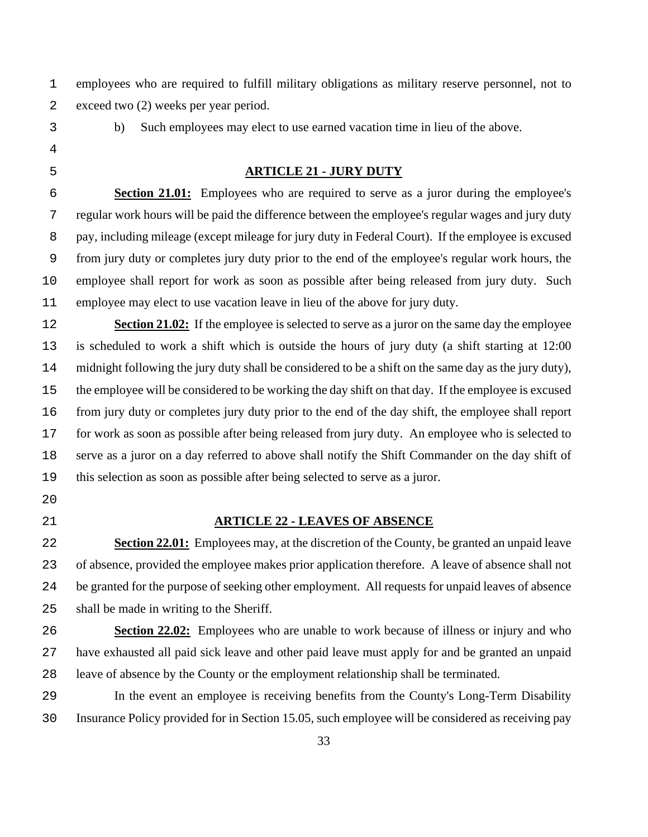employees who are required to fulfill military obligations as military reserve personnel, not to exceed two (2) weeks per year period.

b) Such employees may elect to use earned vacation time in lieu of the above.

#### **ARTICLE 21 - JURY DUTY**

**Section 21.01:** Employees who are required to serve as a juror during the employee's regular work hours will be paid the difference between the employee's regular wages and jury duty pay, including mileage (except mileage for jury duty in Federal Court). If the employee is excused from jury duty or completes jury duty prior to the end of the employee's regular work hours, the employee shall report for work as soon as possible after being released from jury duty. Such employee may elect to use vacation leave in lieu of the above for jury duty.

**Section 21.02:** If the employee is selected to serve as a juror on the same day the employee is scheduled to work a shift which is outside the hours of jury duty (a shift starting at 12:00 midnight following the jury duty shall be considered to be a shift on the same day as the jury duty), the employee will be considered to be working the day shift on that day. If the employee is excused from jury duty or completes jury duty prior to the end of the day shift, the employee shall report for work as soon as possible after being released from jury duty. An employee who is selected to serve as a juror on a day referred to above shall notify the Shift Commander on the day shift of this selection as soon as possible after being selected to serve as a juror.

- 
- 

#### **ARTICLE 22 - LEAVES OF ABSENCE**

**Section 22.01:** Employees may, at the discretion of the County, be granted an unpaid leave of absence, provided the employee makes prior application therefore. A leave of absence shall not be granted for the purpose of seeking other employment. All requests for unpaid leaves of absence shall be made in writing to the Sheriff.

**Section 22.02:** Employees who are unable to work because of illness or injury and who have exhausted all paid sick leave and other paid leave must apply for and be granted an unpaid leave of absence by the County or the employment relationship shall be terminated.

In the event an employee is receiving benefits from the County's Long-Term Disability Insurance Policy provided for in Section 15.05, such employee will be considered as receiving pay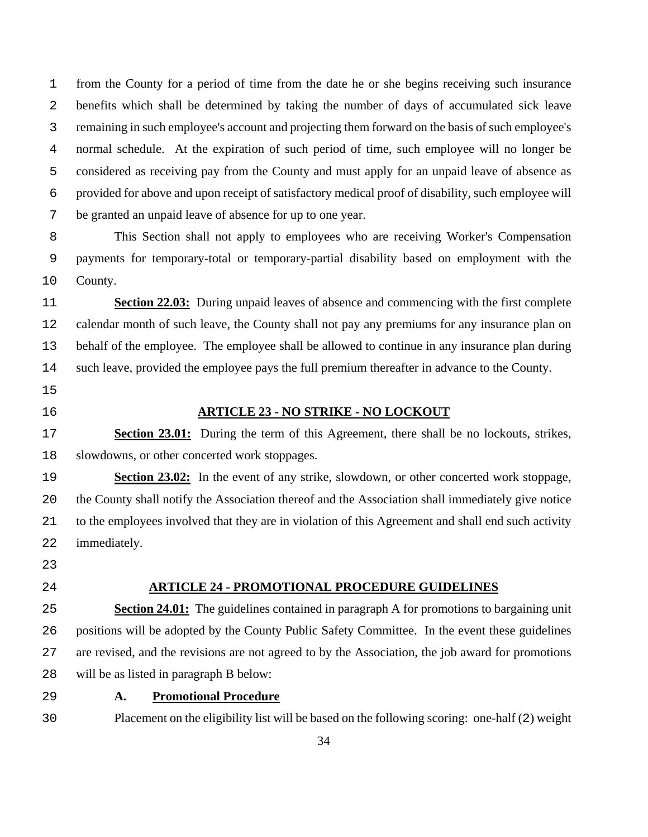from the County for a period of time from the date he or she begins receiving such insurance benefits which shall be determined by taking the number of days of accumulated sick leave remaining in such employee's account and projecting them forward on the basis of such employee's normal schedule. At the expiration of such period of time, such employee will no longer be considered as receiving pay from the County and must apply for an unpaid leave of absence as provided for above and upon receipt of satisfactory medical proof of disability, such employee will be granted an unpaid leave of absence for up to one year.

This Section shall not apply to employees who are receiving Worker's Compensation payments for temporary-total or temporary-partial disability based on employment with the County.

**Section 22.03:** During unpaid leaves of absence and commencing with the first complete calendar month of such leave, the County shall not pay any premiums for any insurance plan on behalf of the employee. The employee shall be allowed to continue in any insurance plan during such leave, provided the employee pays the full premium thereafter in advance to the County.

- 
- 

## **ARTICLE 23 - NO STRIKE - NO LOCKOUT**

**Section 23.01:** During the term of this Agreement, there shall be no lockouts, strikes, slowdowns, or other concerted work stoppages.

**Section 23.02:** In the event of any strike, slowdown, or other concerted work stoppage, the County shall notify the Association thereof and the Association shall immediately give notice to the employees involved that they are in violation of this Agreement and shall end such activity immediately.

## **ARTICLE 24 - PROMOTIONAL PROCEDURE GUIDELINES**

**Section 24.01:** The guidelines contained in paragraph A for promotions to bargaining unit positions will be adopted by the County Public Safety Committee. In the event these guidelines are revised, and the revisions are not agreed to by the Association, the job award for promotions will be as listed in paragraph B below:

## **A. Promotional Procedure**

Placement on the eligibility list will be based on the following scoring: one-half (2) weight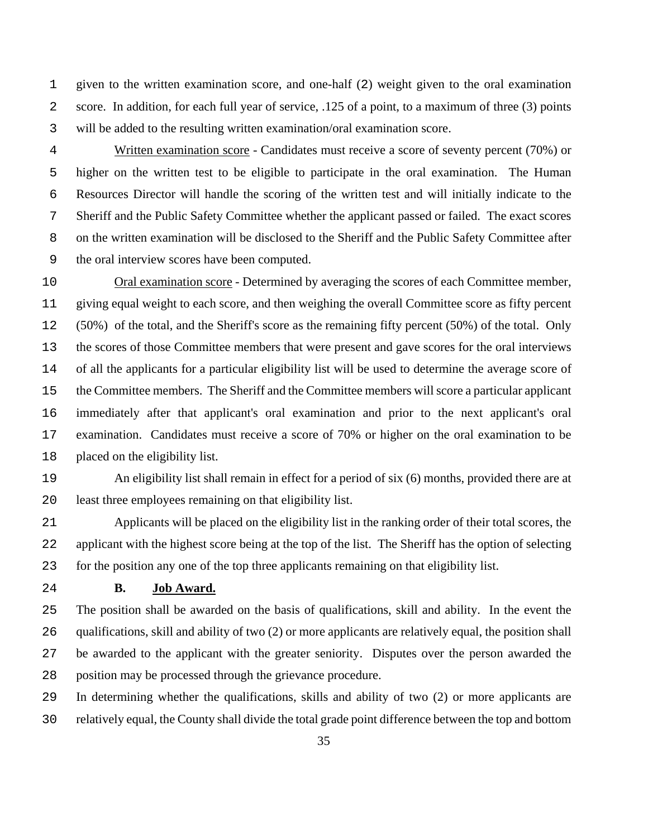given to the written examination score, and one-half (2) weight given to the oral examination score. In addition, for each full year of service, .125 of a point, to a maximum of three (3) points will be added to the resulting written examination/oral examination score.

Written examination score - Candidates must receive a score of seventy percent (70%) or higher on the written test to be eligible to participate in the oral examination. The Human Resources Director will handle the scoring of the written test and will initially indicate to the Sheriff and the Public Safety Committee whether the applicant passed or failed. The exact scores on the written examination will be disclosed to the Sheriff and the Public Safety Committee after the oral interview scores have been computed.

Oral examination score - Determined by averaging the scores of each Committee member, giving equal weight to each score, and then weighing the overall Committee score as fifty percent (50%) of the total, and the Sheriff's score as the remaining fifty percent (50%) of the total. Only the scores of those Committee members that were present and gave scores for the oral interviews of all the applicants for a particular eligibility list will be used to determine the average score of the Committee members. The Sheriff and the Committee members will score a particular applicant immediately after that applicant's oral examination and prior to the next applicant's oral examination. Candidates must receive a score of 70% or higher on the oral examination to be placed on the eligibility list.

An eligibility list shall remain in effect for a period of six (6) months, provided there are at least three employees remaining on that eligibility list.

Applicants will be placed on the eligibility list in the ranking order of their total scores, the applicant with the highest score being at the top of the list. The Sheriff has the option of selecting for the position any one of the top three applicants remaining on that eligibility list.

## **B. Job Award.**

The position shall be awarded on the basis of qualifications, skill and ability. In the event the qualifications, skill and ability of two (2) or more applicants are relatively equal, the position shall be awarded to the applicant with the greater seniority. Disputes over the person awarded the position may be processed through the grievance procedure.

In determining whether the qualifications, skills and ability of two (2) or more applicants are relatively equal, the County shall divide the total grade point difference between the top and bottom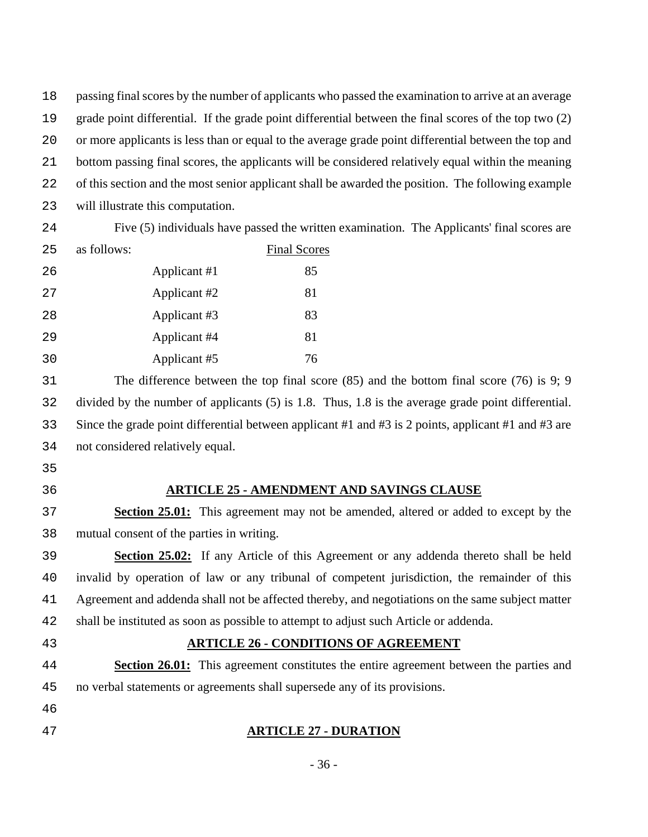passing final scores by the number of applicants who passed the examination to arrive at an average grade point differential. If the grade point differential between the final scores of the top two (2) or more applicants is less than or equal to the average grade point differential between the top and bottom passing final scores, the applicants will be considered relatively equal within the meaning of this section and the most senior applicant shall be awarded the position. The following example will illustrate this computation.

| 24 |              | Five (5) individuals have passed the written examination. The Applicants' final scores are |  |
|----|--------------|--------------------------------------------------------------------------------------------|--|
| 25 | as follows:  | <b>Final Scores</b>                                                                        |  |
| 26 | Applicant #1 | 85                                                                                         |  |
| 27 | Applicant #2 | 81                                                                                         |  |
| 28 | Applicant #3 | 83                                                                                         |  |
| 29 | Applicant #4 | 81                                                                                         |  |
| 30 | Applicant #5 | 76                                                                                         |  |

The difference between the top final score (85) and the bottom final score (76) is 9; 9 divided by the number of applicants (5) is 1.8. Thus, 1.8 is the average grade point differential. Since the grade point differential between applicant #1 and #3 is 2 points, applicant #1 and #3 are not considered relatively equal.

- 
- 

## **ARTICLE 25 - AMENDMENT AND SAVINGS CLAUSE**

**Section 25.01:** This agreement may not be amended, altered or added to except by the mutual consent of the parties in writing.

**Section 25.02:** If any Article of this Agreement or any addenda thereto shall be held invalid by operation of law or any tribunal of competent jurisdiction, the remainder of this Agreement and addenda shall not be affected thereby, and negotiations on the same subject matter shall be instituted as soon as possible to attempt to adjust such Article or addenda.

## **ARTICLE 26 - CONDITIONS OF AGREEMENT**

**Section 26.01:** This agreement constitutes the entire agreement between the parties and no verbal statements or agreements shall supersede any of its provisions.

**ARTICLE 27 - DURATION**